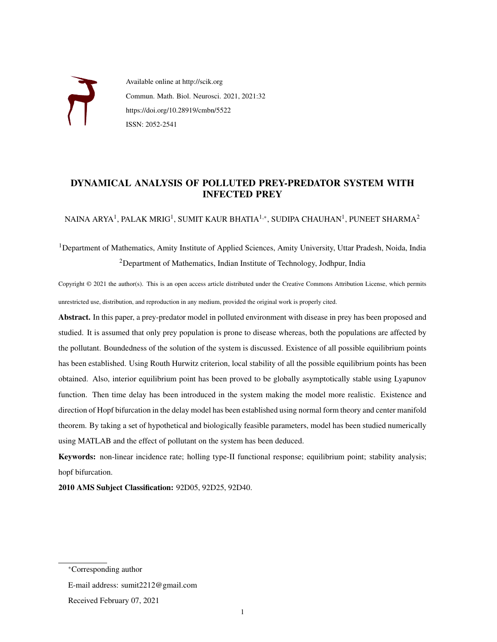

Available online at http://scik.org Commun. Math. Biol. Neurosci. 2021, 2021:32 https://doi.org/10.28919/cmbn/5522 ISSN: 2052-2541

# DYNAMICAL ANALYSIS OF POLLUTED PREY-PREDATOR SYSTEM WITH INFECTED PREY

NAINA ARYA<sup>1</sup>, PALAK MRIG<sup>1</sup>, SUMIT KAUR BHATIA<sup>1,</sup>\*, SUDIPA CHAUHAN<sup>1</sup>, PUNEET SHARMA<sup>2</sup>

<sup>1</sup>Department of Mathematics, Amity Institute of Applied Sciences, Amity University, Uttar Pradesh, Noida, India <sup>2</sup>Department of Mathematics, Indian Institute of Technology, Jodhpur, India

Copyright © 2021 the author(s). This is an open access article distributed under the Creative Commons Attribution License, which permits unrestricted use, distribution, and reproduction in any medium, provided the original work is properly cited.

Abstract. In this paper, a prey-predator model in polluted environment with disease in prey has been proposed and studied. It is assumed that only prey population is prone to disease whereas, both the populations are affected by the pollutant. Boundedness of the solution of the system is discussed. Existence of all possible equilibrium points has been established. Using Routh Hurwitz criterion, local stability of all the possible equilibrium points has been obtained. Also, interior equilibrium point has been proved to be globally asymptotically stable using Lyapunov function. Then time delay has been introduced in the system making the model more realistic. Existence and direction of Hopf bifurcation in the delay model has been established using normal form theory and center manifold theorem. By taking a set of hypothetical and biologically feasible parameters, model has been studied numerically using MATLAB and the effect of pollutant on the system has been deduced.

Keywords: non-linear incidence rate; holling type-II functional response; equilibrium point; stability analysis; hopf bifurcation.

2010 AMS Subject Classification: 92D05, 92D25, 92D40.

<sup>∗</sup>Corresponding author

E-mail address: sumit2212@gmail.com

Received February 07, 2021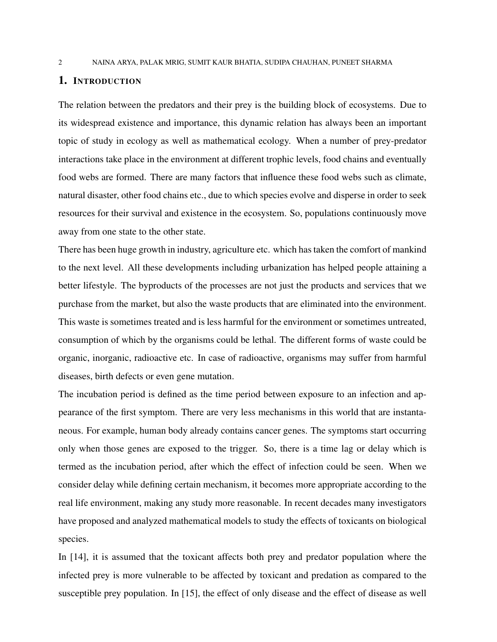## 1. INTRODUCTION

The relation between the predators and their prey is the building block of ecosystems. Due to its widespread existence and importance, this dynamic relation has always been an important topic of study in ecology as well as mathematical ecology. When a number of prey-predator interactions take place in the environment at different trophic levels, food chains and eventually food webs are formed. There are many factors that influence these food webs such as climate, natural disaster, other food chains etc., due to which species evolve and disperse in order to seek resources for their survival and existence in the ecosystem. So, populations continuously move away from one state to the other state.

There has been huge growth in industry, agriculture etc. which has taken the comfort of mankind to the next level. All these developments including urbanization has helped people attaining a better lifestyle. The byproducts of the processes are not just the products and services that we purchase from the market, but also the waste products that are eliminated into the environment. This waste is sometimes treated and is less harmful for the environment or sometimes untreated, consumption of which by the organisms could be lethal. The different forms of waste could be organic, inorganic, radioactive etc. In case of radioactive, organisms may suffer from harmful diseases, birth defects or even gene mutation.

The incubation period is defined as the time period between exposure to an infection and appearance of the first symptom. There are very less mechanisms in this world that are instantaneous. For example, human body already contains cancer genes. The symptoms start occurring only when those genes are exposed to the trigger. So, there is a time lag or delay which is termed as the incubation period, after which the effect of infection could be seen. When we consider delay while defining certain mechanism, it becomes more appropriate according to the real life environment, making any study more reasonable. In recent decades many investigators have proposed and analyzed mathematical models to study the effects of toxicants on biological species.

In [14], it is assumed that the toxicant affects both prey and predator population where the infected prey is more vulnerable to be affected by toxicant and predation as compared to the susceptible prey population. In [15], the effect of only disease and the effect of disease as well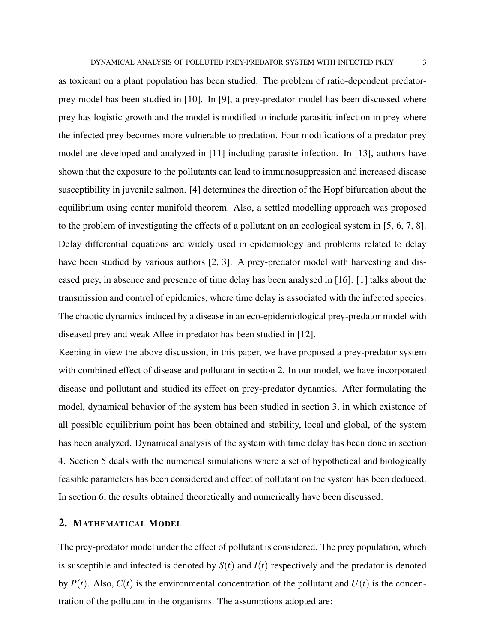as toxicant on a plant population has been studied. The problem of ratio-dependent predatorprey model has been studied in [10]. In [9], a prey-predator model has been discussed where prey has logistic growth and the model is modified to include parasitic infection in prey where the infected prey becomes more vulnerable to predation. Four modifications of a predator prey model are developed and analyzed in [11] including parasite infection. In [13], authors have shown that the exposure to the pollutants can lead to immunosuppression and increased disease susceptibility in juvenile salmon. [4] determines the direction of the Hopf bifurcation about the equilibrium using center manifold theorem. Also, a settled modelling approach was proposed to the problem of investigating the effects of a pollutant on an ecological system in [5, 6, 7, 8]. Delay differential equations are widely used in epidemiology and problems related to delay have been studied by various authors [2, 3]. A prey-predator model with harvesting and diseased prey, in absence and presence of time delay has been analysed in [16]. [1] talks about the transmission and control of epidemics, where time delay is associated with the infected species. The chaotic dynamics induced by a disease in an eco-epidemiological prey-predator model with diseased prey and weak Allee in predator has been studied in [12].

Keeping in view the above discussion, in this paper, we have proposed a prey-predator system with combined effect of disease and pollutant in section 2. In our model, we have incorporated disease and pollutant and studied its effect on prey-predator dynamics. After formulating the model, dynamical behavior of the system has been studied in section 3, in which existence of all possible equilibrium point has been obtained and stability, local and global, of the system has been analyzed. Dynamical analysis of the system with time delay has been done in section 4. Section 5 deals with the numerical simulations where a set of hypothetical and biologically feasible parameters has been considered and effect of pollutant on the system has been deduced. In section 6, the results obtained theoretically and numerically have been discussed.

### 2. MATHEMATICAL MODEL

The prey-predator model under the effect of pollutant is considered. The prey population, which is susceptible and infected is denoted by  $S(t)$  and  $I(t)$  respectively and the predator is denoted by  $P(t)$ . Also,  $C(t)$  is the environmental concentration of the pollutant and  $U(t)$  is the concentration of the pollutant in the organisms. The assumptions adopted are: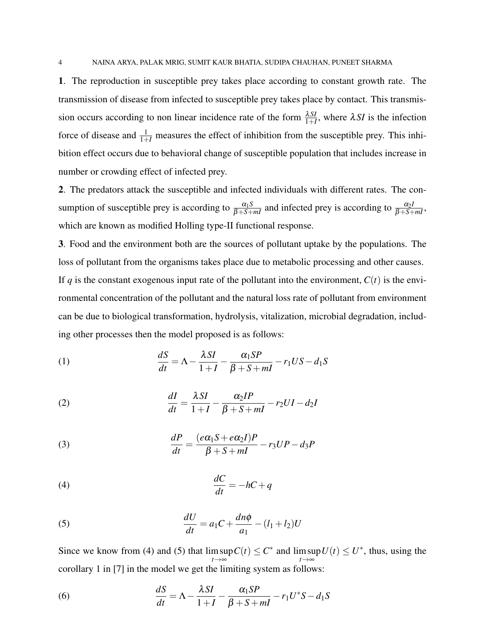1. The reproduction in susceptible prey takes place according to constant growth rate. The transmission of disease from infected to susceptible prey takes place by contact. This transmission occurs according to non linear incidence rate of the form  $\frac{\lambda SI}{1+I}$ , where  $\lambda SI$  is the infection force of disease and  $\frac{1}{1+l}$  measures the effect of inhibition from the susceptible prey. This inhibition effect occurs due to behavioral change of susceptible population that includes increase in number or crowding effect of infected prey.

2. The predators attack the susceptible and infected individuals with different rates. The consumption of susceptible prey is according to  $\frac{\alpha_1 S}{\beta + S + mI}$  and infected prey is according to  $\frac{\alpha_2 I}{\beta + S + mI}$ , which are known as modified Holling type-II functional response.

3. Food and the environment both are the sources of pollutant uptake by the populations. The loss of pollutant from the organisms takes place due to metabolic processing and other causes. If *q* is the constant exogenous input rate of the pollutant into the environment,  $C(t)$  is the environmental concentration of the pollutant and the natural loss rate of pollutant from environment can be due to biological transformation, hydrolysis, vitalization, microbial degradation, including other processes then the model proposed is as follows:

(1) 
$$
\frac{dS}{dt} = \Lambda - \frac{\lambda SI}{1+I} - \frac{\alpha_1 SP}{\beta + S + ml} - r_1 US - d_1 S
$$

(2) 
$$
\frac{dI}{dt} = \frac{\lambda SI}{1+I} - \frac{\alpha_2 IP}{\beta + S + ml} - r_2 UI - d_2I
$$

(3) 
$$
\frac{dP}{dt} = \frac{(e\alpha_1S + e\alpha_2I)P}{\beta + S + mI} - r_3UP - d_3P
$$

$$
\frac{dC}{dt} = -hC + q
$$

(5) 
$$
\frac{dU}{dt} = a_1 C + \frac{dn\phi}{a_1} - (l_1 + l_2)U
$$

Since we know from (4) and (5) that lim sup *t*→∞  $C(t) \leq C^*$  and lim sup *t*→∞  $U(t) \le U^*$ , thus, using the corollary 1 in [7] in the model we get the limiting system as follows:

(6) 
$$
\frac{dS}{dt} = \Lambda - \frac{\lambda SI}{1+I} - \frac{\alpha_1 SP}{\beta + S + ml} - r_1 U^* S - d_1 S
$$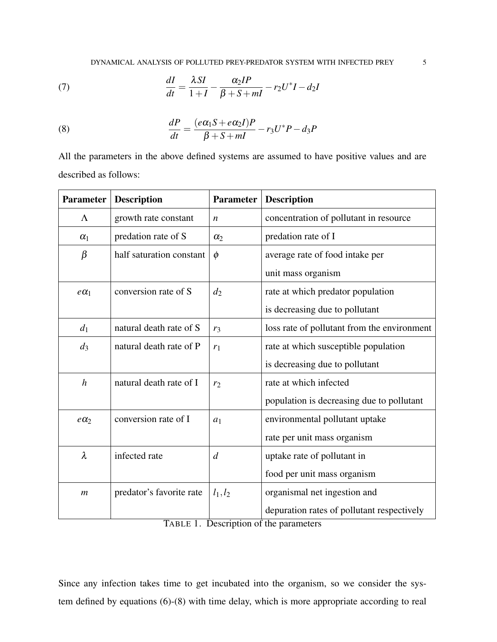(7) 
$$
\frac{dI}{dt} = \frac{\lambda SI}{1+I} - \frac{\alpha_2 IP}{\beta + S + ml} - r_2 U^* I - d_2 I
$$

(8) 
$$
\frac{dP}{dt} = \frac{(e\alpha_1S + e\alpha_2I)P}{\beta + S + mI} - r_3U^*P - d_3P
$$

All the parameters in the above defined systems are assumed to have positive values and are described as follows:

| <b>Parameter</b> | <b>Description</b>       | <b>Parameter</b> | <b>Description</b>                          |  |
|------------------|--------------------------|------------------|---------------------------------------------|--|
| $\Lambda$        | growth rate constant     | n                | concentration of pollutant in resource      |  |
| $\alpha_1$       | predation rate of S      | $\alpha_2$       | predation rate of I                         |  |
| $\beta$          | half saturation constant | $\phi$           | average rate of food intake per             |  |
|                  |                          |                  | unit mass organism                          |  |
| $e\alpha_1$      | conversion rate of S     | $d_2$            | rate at which predator population           |  |
|                  |                          |                  | is decreasing due to pollutant              |  |
| $d_1$            | natural death rate of S  | $r_3$            | loss rate of pollutant from the environment |  |
| $d_3$            | natural death rate of P  | $r_1$            | rate at which susceptible population        |  |
|                  |                          |                  | is decreasing due to pollutant              |  |
| $\boldsymbol{h}$ | natural death rate of I  | r <sub>2</sub>   | rate at which infected                      |  |
|                  |                          |                  | population is decreasing due to pollutant   |  |
| $e\alpha_2$      | conversion rate of I     | $a_1$            | environmental pollutant uptake              |  |
|                  |                          |                  | rate per unit mass organism                 |  |
| $\lambda$        | infected rate            | $\overline{d}$   | uptake rate of pollutant in                 |  |
|                  |                          |                  | food per unit mass organism                 |  |
| $\mathfrak{m}$   | predator's favorite rate | $l_1, l_2$       | organismal net ingestion and                |  |
|                  |                          |                  | depuration rates of pollutant respectively  |  |

TABLE 1. Description of the parameters

Since any infection takes time to get incubated into the organism, so we consider the system defined by equations (6)-(8) with time delay, which is more appropriate according to real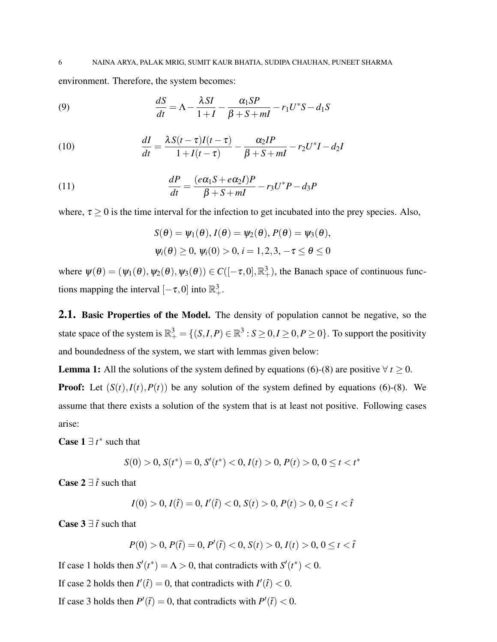environment. Therefore, the system becomes:

(9) 
$$
\frac{dS}{dt} = \Lambda - \frac{\lambda SI}{1+I} - \frac{\alpha_1 SP}{\beta + S + ml} - r_1 U^* S - d_1 S
$$

(10) 
$$
\frac{dI}{dt} = \frac{\lambda S(t-\tau)I(t-\tau)}{1+I(t-\tau)} - \frac{\alpha_2 IP}{\beta + S + ml} - r_2 U^* I - d_2 I
$$

(11) 
$$
\frac{dP}{dt} = \frac{(e\alpha_1S + e\alpha_2I)P}{\beta + S + mI} - r_3U^*P - d_3P
$$

where,  $\tau \geq 0$  is the time interval for the infection to get incubated into the prey species. Also,

$$
S(\theta) = \psi_1(\theta), I(\theta) = \psi_2(\theta), P(\theta) = \psi_3(\theta),
$$
  

$$
\psi_i(\theta) \ge 0, \psi_i(0) > 0, i = 1, 2, 3, -\tau \le \theta \le 0
$$

where  $\psi(\theta) = (\psi_1(\theta), \psi_2(\theta), \psi_3(\theta)) \in C([-\tau, 0], \mathbb{R}^3_+)$ , the Banach space of continuous functions mapping the interval  $[-\tau, 0]$  into  $\mathbb{R}^3_+$ .

2.1. Basic Properties of the Model. The density of population cannot be negative, so the state space of the system is  $\mathbb{R}^3_+ = \{(S, I, P) \in \mathbb{R}^3 : S \ge 0, I \ge 0, P \ge 0\}$ . To support the positivity and boundedness of the system, we start with lemmas given below:

**Lemma 1:** All the solutions of the system defined by equations (6)-(8) are positive  $\forall t \ge 0$ . **Proof:** Let  $(S(t), I(t), P(t))$  be any solution of the system defined by equations (6)-(8). We assume that there exists a solution of the system that is at least not positive. Following cases arise:

**Case 1**  $\exists$  *t*<sup>\*</sup> such that

$$
S(0) > 0, S(t^*) = 0, S'(t^*) < 0, I(t) > 0, P(t) > 0, 0 \le t < t^*
$$

Case 2 ∃ *t*ˆsuch that

$$
I(0) > 0, I(\hat{t}) = 0, I'(\hat{t}) < 0, S(t) > 0, P(t) > 0, 0 \le t < \hat{t}
$$

**Case 3**  $\exists$   $\tilde{t}$  such that

$$
P(0) > 0, P(\tilde{t}) = 0, P'(\tilde{t}) < 0, S(t) > 0, I(t) > 0, 0 \le t < \tilde{t}
$$

If case 1 holds then  $S'(t^*) = \Lambda > 0$ , that contradicts with  $S'(t^*) < 0$ .

If case 2 holds then  $I'(\hat{t}) = 0$ , that contradicts with  $I'(\hat{t}) < 0$ .

If case 3 holds then  $P'(\tilde{t}) = 0$ , that contradicts with  $P'(\tilde{t}) < 0$ .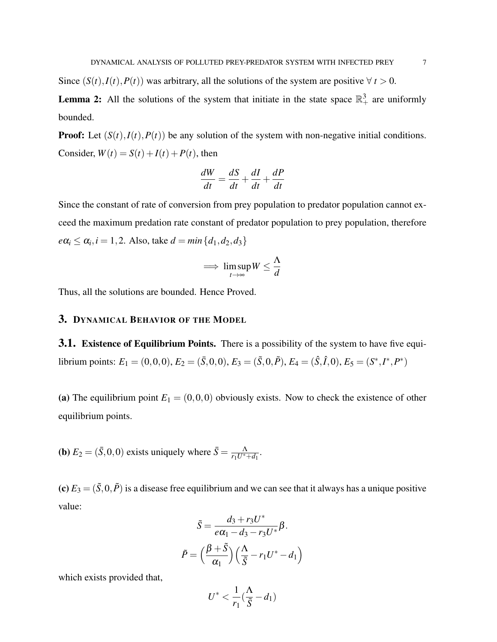Since  $(S(t), I(t), P(t))$  was arbitrary, all the solutions of the system are positive  $\forall t > 0$ .

**Lemma 2:** All the solutions of the system that initiate in the state space  $\mathbb{R}^3_+$  are uniformly bounded.

**Proof:** Let  $(S(t), I(t), P(t))$  be any solution of the system with non-negative initial conditions. Consider,  $W(t) = S(t) + I(t) + P(t)$ , then

$$
\frac{dW}{dt} = \frac{dS}{dt} + \frac{dI}{dt} + \frac{dP}{dt}
$$

Since the constant of rate of conversion from prey population to predator population cannot exceed the maximum predation rate constant of predator population to prey population, therefore  $e\alpha_i \leq \alpha_i, i = 1, 2$ . Also, take  $d = \min\{d_1, d_2, d_3\}$ 

$$
\implies \limsup_{t \to \infty} W \leq \frac{\Lambda}{d}
$$

Thus, all the solutions are bounded. Hence Proved.

### 3. DYNAMICAL BEHAVIOR OF THE MODEL

**3.1.** Existence of Equilibrium Points. There is a possibility of the system to have five equilibrium points:  $E_1 = (0,0,0), E_2 = (\bar{S},0,0), E_3 = (\tilde{S},0,\tilde{P}), E_4 = (\hat{S}, \hat{I},0), E_5 = (S^*,I^*,P^*)$ 

(a) The equilibrium point  $E_1 = (0,0,0)$  obviously exists. Now to check the existence of other equilibrium points.

**(b)**  $E_2 = (\bar{S}, 0, 0)$  exists uniquely where  $\bar{S} = \frac{\Lambda}{L L^{1/2}}$  $\frac{\Lambda}{r_1U^*+d_1}$ .

(c)  $E_3 = (\tilde{S}, 0, \tilde{P})$  is a disease free equilibrium and we can see that it always has a unique positive value:

$$
\tilde{S} = \frac{d_3 + r_3 U^*}{e\alpha_1 - d_3 - r_3 U^*} \beta.
$$

$$
\tilde{P} = \left(\frac{\beta + \tilde{S}}{\alpha_1}\right) \left(\frac{\Lambda}{\tilde{S}} - r_1 U^* - d_1\right)
$$

which exists provided that,

$$
U^*<\frac{1}{r_1}(\frac{\Lambda}{\tilde{S}}-d_1)
$$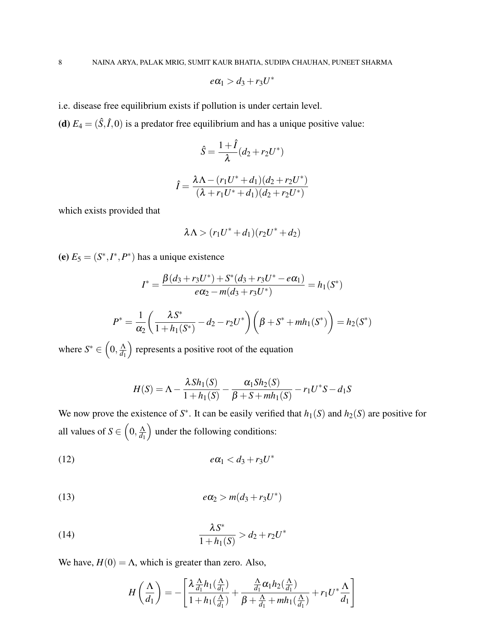$$
e\alpha_1 > d_3 + r_3U^*
$$

i.e. disease free equilibrium exists if pollution is under certain level.

(d)  $E_4 = (\hat{S}, \hat{I}, 0)$  is a predator free equilibrium and has a unique positive value:

$$
\hat{S} = \frac{1+\hat{I}}{\lambda}(d_2 + r_2U^*)
$$

$$
\hat{I} = \frac{\lambda \Lambda - (r_1U^* + d_1)(d_2 + r_2U^*)}{(\lambda + r_1U^* + d_1)(d_2 + r_2U^*)}
$$

which exists provided that

$$
\lambda \Lambda > (r_1 U^* + d_1)(r_2 U^* + d_2)
$$

(e)  $E_5 = (S^*, I^*, P^*)$  has a unique existence

$$
I^* = \frac{\beta(d_3 + r_3U^*) + S^*(d_3 + r_3U^* - e\alpha_1)}{e\alpha_2 - m(d_3 + r_3U^*)} = h_1(S^*)
$$

$$
P^* = \frac{1}{\alpha_2} \left( \frac{\lambda S^*}{1 + h_1(S^*)} - d_2 - r_2 U^* \right) \left( \beta + S^* + m h_1(S^*) \right) = h_2(S^*)
$$

where  $S^*\in \left(0,\frac{\Lambda}{d_1}\right)$  $\overline{d_1}$ ) represents a positive root of the equation

$$
H(S) = \Lambda - \frac{\lambda Sh_1(S)}{1 + h_1(S)} - \frac{\alpha_1 Sh_2(S)}{\beta + S + mh_1(S)} - r_1 U^* S - d_1 S
$$

We now prove the existence of  $S^*$ . It can be easily verified that  $h_1(S)$  and  $h_2(S)$  are positive for all values of  $S \in \left(0, \frac{\Lambda}{d_1}\right)$ *d*1 ) under the following conditions:

$$
e\alpha_1 < d_3 + r_3 U^*
$$

$$
e\alpha_2 > m(d_3 + r_3U^*)
$$

(14) 
$$
\frac{\lambda S^*}{1 + h_1(S)} > d_2 + r_2 U^*
$$

We have,  $H(0) = \Lambda$ , which is greater than zero. Also,

$$
H\left(\frac{\Lambda}{d_1}\right) = -\left[\frac{\lambda \frac{\Lambda}{d_1} h_1(\frac{\Lambda}{d_1})}{1 + h_1(\frac{\Lambda}{d_1})} + \frac{\frac{\Lambda}{d_1} \alpha_1 h_2(\frac{\Lambda}{d_1})}{\beta + \frac{\Lambda}{d_1} + mh_1(\frac{\Lambda}{d_1})} + r_1 U^* \frac{\Lambda}{d_1}\right]
$$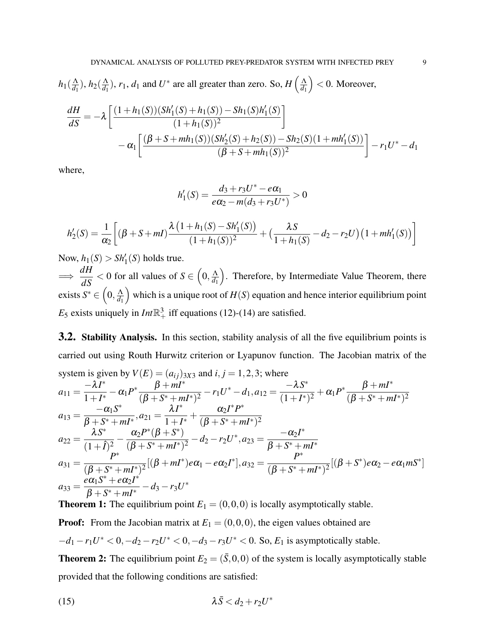$h_1(\frac{\Lambda}{d_1})$  $\frac{\Lambda}{d_1}$ ),  $h_2(\frac{\Lambda}{d_1})$  $\frac{\Delta}{d_1}$ ),  $r_1$ ,  $d_1$  and  $U^*$  are all greater than zero. So,  $H\left(\frac{\Delta}{d_1}\right)$  $\overline{d_1}$  $\bigg) < 0$ . Moreover,

$$
\frac{dH}{dS} = -\lambda \left[ \frac{(1+h_1(S))(Sh'_1(S) + h_1(S)) - Sh_1(S)h'_1(S)}{(1+h_1(S))^2} \right] \n- \alpha_1 \left[ \frac{(\beta + S + mh_1(S))(Sh'_2(S) + h_2(S)) - Sh_2(S)(1 + mh'_1(S))}{(\beta + S + mh_1(S))^2} \right] - r_1 U^* - d_1
$$

where,

$$
h'_1(S) = \frac{d_3 + r_3U^* - e\alpha_1}{e\alpha_2 - m(d_3 + r_3U^*)} > 0
$$

$$
h'_2(S) = \frac{1}{\alpha_2} \left[ (\beta + S + mI) \frac{\lambda (1 + h_1(S) - Sh'_1(S))}{(1 + h_1(S))^2} + \left( \frac{\lambda S}{1 + h_1(S)} - d_2 - r_2 U \right) (1 + mh'_1(S)) \right]
$$

Now,  $h_1(S) > Sh'_1(S)$  holds true.

=⇒ *dH*  $\frac{dH}{dS}$  < 0 for all values of *S*  $\in$   $\left(0, \frac{\Lambda}{d_1}\right)$  $\overline{d_1}$  . Therefore, by Intermediate Value Theorem, there exists  $S^* \in \left(0, \frac{\Lambda}{d_1}\right)$  $\overline{d_1}$ which is a unique root of  $H(S)$  equation and hence interior equilibrium point  $E_5$  exists uniquely in  $Int\mathbb{R}^3_+$  iff equations (12)-(14) are satisfied.

**3.2. Stability Analysis.** In this section, stability analysis of all the five equilibrium points is carried out using Routh Hurwitz criterion or Lyapunov function. The Jacobian matrix of the system is given by  $V(E) = (a_{ij})_{3X3}$  and  $i, j = 1, 2, 3$ ; where

$$
a_{11} = \frac{-\lambda I^*}{1 + I^*} - \alpha_1 P^* \frac{\beta + mI^*}{(\beta + S^* + mI^*)^2} - r_1 U^* - d_1, a_{12} = \frac{-\lambda S^*}{(1 + I^*)^2} + \alpha_1 P^* \frac{\beta + mI^*}{(\beta + S^* + mI^*)^2}
$$
  
\n
$$
a_{13} = \frac{-\alpha_1 S^*}{\beta + S^* + mI^*}, a_{21} = \frac{\lambda I^*}{1 + I^*} + \frac{\alpha_2 I^* P^*}{(\beta + S^* + mI^*)^2}
$$
  
\n
$$
a_{22} = \frac{\lambda S^*}{(1 + \hat{I})^2} - \frac{\alpha_2 P^* (\beta + S^*)}{(\beta + S^* + mI^*)^2} - d_2 - r_2 U^*, a_{23} = \frac{-\alpha_2 I^*}{\beta + S^* + mI^*}
$$
  
\n
$$
a_{31} = \frac{P^*}{(\beta + S^* + mI^*)^2} [(\beta + mI^*)e\alpha_1 - e\alpha_2 I^*], a_{32} = \frac{P^*}{(\beta + S^* + mI^*)^2} [(\beta + S^*)e\alpha_2 - e\alpha_1 mS^*]
$$
  
\n
$$
a_{33} = \frac{e\alpha_1 S^* + e\alpha_2 I^*}{\beta + S^* + mI^*} - d_3 - r_3 U^*
$$

**Theorem 1:** The equilibrium point  $E_1 = (0,0,0)$  is locally asymptotically stable.

**Proof:** From the Jacobian matrix at  $E_1 = (0,0,0)$ , the eigen values obtained are  $-d_1 - r_1 U^* < 0, -d_2 - r_2 U^* < 0, -d_3 - r_3 U^* < 0$ . So,  $E_1$  is asymptotically stable. **Theorem 2:** The equilibrium point  $E_2 = (\bar{S}, 0, 0)$  of the system is locally asymptotically stable

provided that the following conditions are satisfied:

$$
\lambda \bar{S} < d_2 + r_2 U^*
$$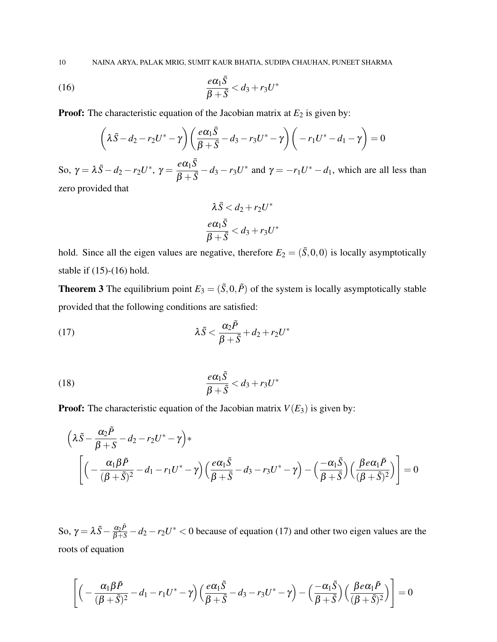10 NAINA ARYA, PALAK MRIG, SUMIT KAUR BHATIA, SUDIPA CHAUHAN, PUNEET SHARMA

$$
\frac{e\alpha_1\bar{S}}{\beta+\bar{S}}
$$

**Proof:** The characteristic equation of the Jacobian matrix at  $E_2$  is given by:

$$
\left(\lambda \bar{S}-d_2-r_2U^*-\gamma\right)\left(\frac{e\alpha_1\bar{S}}{\beta+\bar{S}}-d_3-r_3U^*-\gamma\right)\left(-r_1U^*-d_1-\gamma\right)=0
$$

So, γ =  $λ\bar{S}-d_2-r_2U^*,$  γ =  $\frac{eα_1\bar{S}}{β_+\bar{S}}$  $\frac{\partial u_1 \partial}{\partial x_1} - d_3 - r_3 U^*$  and  $\gamma = -r_1 U^* - d_1$ , which are all less than zero provided that

$$
\begin{aligned} \lambda \bar{S} &< d_2 + r_2 U^* \\ \frac{e\alpha_1 \bar{S}}{\beta+\bar{S}} &< d_3 + r_3 U^* \end{aligned}
$$

hold. Since all the eigen values are negative, therefore  $E_2 = (\bar{S}, 0, 0)$  is locally asymptotically stable if (15)-(16) hold.

**Theorem 3** The equilibrium point  $E_3 = (\tilde{S}, 0, \tilde{P})$  of the system is locally asymptotically stable provided that the following conditions are satisfied:

(17) 
$$
\lambda \tilde{S} < \frac{\alpha_2 \tilde{P}}{\beta + \tilde{S}} + d_2 + r_2 U^*
$$

(18) 
$$
\frac{e\alpha_1\tilde{S}}{\beta+\tilde{S}} < d_3+r_3U^*
$$

**Proof:** The characteristic equation of the Jacobian matrix  $V(E_3)$  is given by:

$$
\begin{aligned}\n\left(\lambda \tilde{S} - \frac{\alpha_2 \tilde{P}}{\beta + S} - d_2 - r_2 U^* - \gamma\right) * \\
& \left[ \left( -\frac{\alpha_1 \beta \tilde{P}}{(\beta + \tilde{S})^2} - d_1 - r_1 U^* - \gamma \right) \left( \frac{e \alpha_1 \tilde{S}}{\beta + \tilde{S}} - d_3 - r_3 U^* - \gamma \right) - \left( \frac{-\alpha_1 \tilde{S}}{\beta + \tilde{S}} \right) \left( \frac{\beta e \alpha_1 \tilde{P}}{(\beta + \tilde{S})^2} \right) \right] = 0\n\end{aligned}
$$

So,  $\gamma = \lambda \tilde{S} - \frac{\alpha_2 \tilde{P}}{\beta + S} - d_2 - r_2 U^* < 0$  because of equation (17) and other two eigen values are the roots of equation

$$
\left[\left(-\frac{\alpha_1\beta\tilde{P}}{(\beta+\tilde{S})^2}-d_1-r_1U^*-\gamma\right)\left(\frac{e\alpha_1\tilde{S}}{\beta+\tilde{S}}-d_3-r_3U^*-\gamma\right)-\left(\frac{-\alpha_1\tilde{S}}{\beta+\tilde{S}}\right)\left(\frac{\beta e\alpha_1\tilde{P}}{(\beta+\tilde{S})^2}\right)\right]=0
$$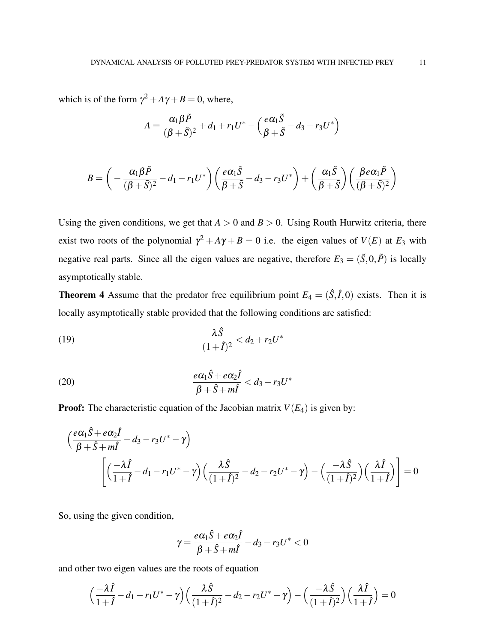which is of the form  $\gamma^2 + A\gamma + B = 0$ , where,

$$
A = \frac{\alpha_1 \beta \tilde{P}}{(\beta + \tilde{S})^2} + d_1 + r_1 U^* - \left(\frac{e \alpha_1 \tilde{S}}{\beta + \tilde{S}} - d_3 - r_3 U^*\right)
$$

$$
B = \left(-\frac{\alpha_1 \beta \tilde{P}}{(\beta + \tilde{S})^2} - d_1 - r_1 U^*\right) \left(\frac{e\alpha_1 \tilde{S}}{\beta + \tilde{S}} - d_3 - r_3 U^*\right) + \left(\frac{\alpha_1 \tilde{S}}{\beta + \tilde{S}}\right) \left(\frac{\beta e\alpha_1 \tilde{P}}{(\beta + \tilde{S})^2}\right)
$$

Using the given conditions, we get that  $A > 0$  and  $B > 0$ . Using Routh Hurwitz criteria, there exist two roots of the polynomial  $\gamma^2 + A\gamma + B = 0$  i.e. the eigen values of  $V(E)$  at  $E_3$  with negative real parts. Since all the eigen values are negative, therefore  $E_3 = (\tilde{S}, 0, \tilde{P})$  is locally asymptotically stable.

**Theorem 4** Assume that the predator free equilibrium point  $E_4 = (\hat{S}, \hat{I}, 0)$  exists. Then it is locally asymptotically stable provided that the following conditions are satisfied:

(19) 
$$
\frac{\lambda \hat{S}}{(1+\hat{I})^2} < d_2 + r_2 U^*
$$

(20) 
$$
\frac{e\alpha_1\hat{S}+e\alpha_2\hat{I}}{\beta+\hat{S}+m\hat{I}}
$$

**Proof:** The characteristic equation of the Jacobian matrix  $V(E_4)$  is given by:

$$
\begin{aligned}\n&\left(\frac{e\alpha_1\hat{S}+e\alpha_2\hat{I}}{\beta+\hat{S}+m\hat{I}}-d_3-r_3U^*-\gamma\right)\\&\qquad\qquad\left[\left(\frac{-\lambda\hat{I}}{1+\hat{I}}-d_1-r_1U^*-\gamma\right)\left(\frac{\lambda\hat{S}}{(1+\hat{I})^2}-d_2-r_2U^*-\gamma\right)-\left(\frac{-\lambda\hat{S}}{(1+\hat{I})^2}\right)\left(\frac{\lambda\hat{I}}{1+\hat{I}}\right)\right]=0\end{aligned}
$$

So, using the given condition,

$$
\gamma = \frac{e\alpha_1 \hat{S} + e\alpha_2 \hat{I}}{\beta + \hat{S} + m\hat{I}} - d_3 - r_3 U^* < 0
$$

and other two eigen values are the roots of equation

$$
\left(\frac{-\lambda \hat{I}}{1+\hat{I}}-d_1-r_1U^*-\gamma\right)\left(\frac{\lambda \hat{S}}{(1+\hat{I})^2}-d_2-r_2U^*-\gamma\right)-\left(\frac{-\lambda \hat{S}}{(1+\hat{I})^2}\right)\left(\frac{\lambda \hat{I}}{1+\hat{I}}\right)=0
$$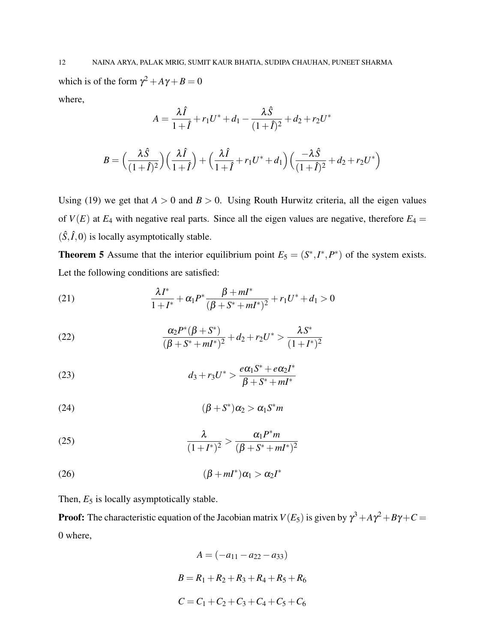where,

$$
A = \frac{\lambda \hat{I}}{1+\hat{I}} + r_1 U^* + d_1 - \frac{\lambda \hat{S}}{(1+\hat{I})^2} + d_2 + r_2 U^*
$$

$$
B = \left(\frac{\lambda \hat{S}}{(1+\hat{I})^2}\right) \left(\frac{\lambda \hat{I}}{1+\hat{I}}\right) + \left(\frac{\lambda \hat{I}}{1+\hat{I}} + r_1 U^* + d_1\right) \left(\frac{-\lambda \hat{S}}{(1+\hat{I})^2} + d_2 + r_2 U^*\right)
$$

Using (19) we get that  $A > 0$  and  $B > 0$ . Using Routh Hurwitz criteria, all the eigen values of  $V(E)$  at  $E_4$  with negative real parts. Since all the eigen values are negative, therefore  $E_4 =$  $(\hat{S}, \hat{I}, 0)$  is locally asymptotically stable.

**Theorem 5** Assume that the interior equilibrium point  $E_5 = (S^*, I^*, P^*)$  of the system exists. Let the following conditions are satisfied:

(21) 
$$
\frac{\lambda I^*}{1+I^*} + \alpha_1 P^* \frac{\beta + mI^*}{(\beta + S^* + mI^*)^2} + r_1 U^* + d_1 > 0
$$

(22) 
$$
\frac{\alpha_2 P^*(\beta + S^*)}{(\beta + S^* + mI^*)^2} + d_2 + r_2 U^* > \frac{\lambda S^*}{(1 + I^*)^2}
$$

(23) 
$$
d_3 + r_3 U^* > \frac{e\alpha_1 S^* + e\alpha_2 I^*}{\beta + S^* + mI^*}
$$

(24) 
$$
(\beta + S^*)\alpha_2 > \alpha_1 S^* m
$$

(25) 
$$
\frac{\lambda}{(1+I^*)^2} > \frac{\alpha_1 P^* m}{(\beta + S^* + mI^*)^2}
$$

$$
(26) \qquad \qquad (\beta + mI^*)\alpha_1 > \alpha_2I^*
$$

Then,  $E_5$  is locally asymptotically stable.

**Proof:** The characteristic equation of the Jacobian matrix  $V(E_5)$  is given by  $\gamma^3 + A\gamma^2 + B\gamma + C =$ 0 where,

$$
A = (-a_{11} - a_{22} - a_{33})
$$
  
\n
$$
B = R_1 + R_2 + R_3 + R_4 + R_5 + R_6
$$
  
\n
$$
C = C_1 + C_2 + C_3 + C_4 + C_5 + C_6
$$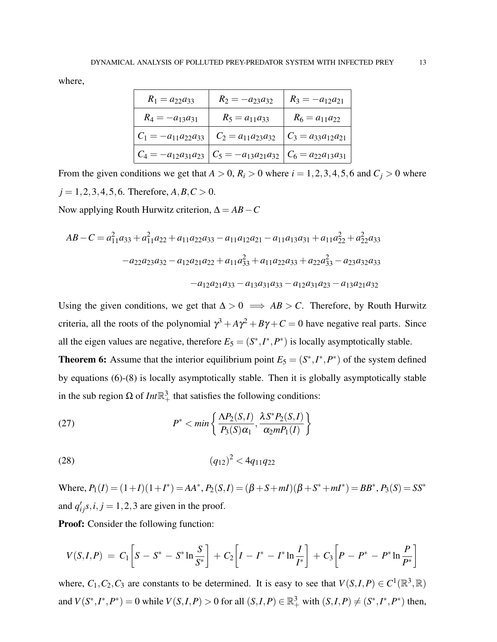where,

| $R_1 = a_{22}a_{33}$        | $R_2 = -a_{23}a_{32}$                                                              | $R_3 = -a_{12}a_{21}$      |
|-----------------------------|------------------------------------------------------------------------------------|----------------------------|
| $R_4 = -a_{13}a_{31}$       | $R_5 = a_{11}a_{33}$                                                               | $R_6 = a_{11}a_{22}$       |
| $C_1 = -a_{11}a_{22}a_{33}$ | $C_2 = a_{11}a_{23}a_{32}$                                                         | $C_3 = a_{33}a_{12}a_{21}$ |
|                             | $C_4 = -a_{12}a_{31}a_{23}$ $C_5 = -a_{13}a_{21}a_{32}$ $C_6 = a_{22}a_{13}a_{31}$ |                            |

From the given conditions we get that  $A > 0$ ,  $R_i > 0$  where  $i = 1, 2, 3, 4, 5, 6$  and  $C_j > 0$  where  $j = 1, 2, 3, 4, 5, 6$ . Therefore,  $A, B, C > 0$ .

Now applying Routh Hurwitz criterion, ∆ = *AB*−*C*

$$
AB - C = a_{11}^2 a_{33} + a_{11}^2 a_{22} + a_{11} a_{22} a_{33} - a_{11} a_{12} a_{21} - a_{11} a_{13} a_{31} + a_{11} a_{22}^2 + a_{22}^2 a_{33}
$$

$$
-a_{22} a_{23} a_{32} - a_{12} a_{21} a_{22} + a_{11} a_{33}^2 + a_{11} a_{22} a_{33} + a_{22} a_{33}^2 - a_{23} a_{32} a_{33}
$$

$$
-a_{12} a_{21} a_{33} - a_{13} a_{31} a_{33} - a_{12} a_{31} a_{23} - a_{13} a_{21} a_{32}
$$

Using the given conditions, we get that  $\Delta > 0 \implies AB > C$ . Therefore, by Routh Hurwitz criteria, all the roots of the polynomial  $\gamma^3 + A\gamma^2 + B\gamma + C = 0$  have negative real parts. Since all the eigen values are negative, therefore  $E_5 = (S^*, I^*, P^*)$  is locally asymptotically stable.

**Theorem 6:** Assume that the interior equilibrium point  $E_5 = (S^*, I^*, P^*)$  of the system defined by equations (6)-(8) is locally asymptotically stable. Then it is globally asymptotically stable in the sub region  $\Omega$  of *Int* $\mathbb{R}^3_+$  that satisfies the following conditions:

(27) 
$$
P^* < min\left\{\frac{\Lambda P_2(S,I)}{P_3(S)\alpha_1}, \frac{\lambda S^* P_2(S,I)}{\alpha_2 m P_1(I)}\right\}
$$

$$
(q_{12})^2 < 4q_{11}q_{22}
$$

 $W$ here,  $P_1(I) = (1+I)(1+I^*) = AA^*$ ,  $P_2(S,I) = (\beta + S + mI)(\beta + S^* + mI^*) = BB^*$ ,  $P_3(S) = SS^*$ and  $q'_{ij}s$ ,  $i, j = 1, 2, 3$  are given in the proof.

Proof: Consider the following function:

$$
V(S,I,P) = C_1 \left[ S - S^* - S^* \ln \frac{S}{S^*} \right] + C_2 \left[ I - I^* - I^* \ln \frac{I}{I^*} \right] + C_3 \left[ P - P^* - P^* \ln \frac{P}{P^*} \right]
$$

where,  $C_1$ ,  $C_2$ ,  $C_3$  are constants to be determined. It is easy to see that  $V(S, I, P) \in C^1(\mathbb{R}^3, \mathbb{R})$ and  $V(S^*,I^*,P^*) = 0$  while  $V(S,I,P) > 0$  for all  $(S,I,P) \in \mathbb{R}^3_+$  with  $(S,I,P) \neq (S^*,I^*,P^*)$  then,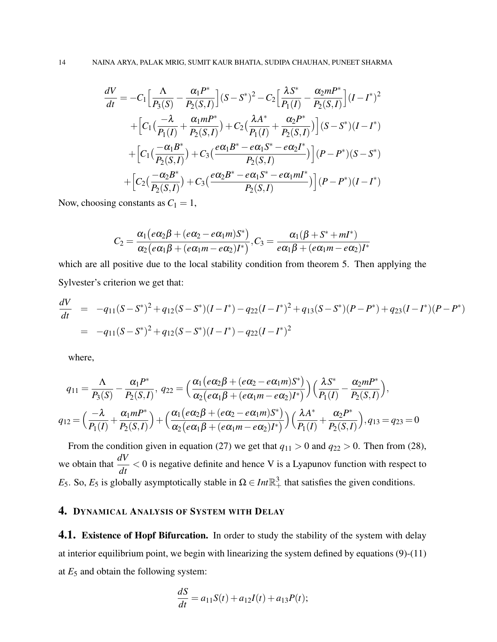$$
\frac{dV}{dt} = -C_1 \Big[ \frac{\Lambda}{P_3(S)} - \frac{\alpha_1 P^*}{P_2(S,I)} \Big] (S - S^*)^2 - C_2 \Big[ \frac{\lambda S^*}{P_1(I)} - \frac{\alpha_2 m P^*}{P_2(S,I)} \Big] (I - I^*)^2 \n+ \Big[ C_1 \Big( \frac{-\lambda}{P_1(I)} + \frac{\alpha_1 m P^*}{P_2(S,I)} \Big) + C_2 \Big( \frac{\lambda A^*}{P_1(I)} + \frac{\alpha_2 P^*}{P_2(S,I)} \Big) \Big] (S - S^*) (I - I^*) \n+ \Big[ C_1 \Big( \frac{-\alpha_1 B^*}{P_2(S,I)} \Big) + C_3 \Big( \frac{e \alpha_1 B^* - e \alpha_1 S^* - e \alpha_2 I^*}{P_2(S,I)} \Big) \Big] (P - P^*) (S - S^*) \n+ \Big[ C_2 \Big( \frac{-\alpha_2 B^*}{P_2(S,I)} \Big) + C_3 \Big( \frac{e \alpha_2 B^* - e \alpha_1 S^* - e \alpha_1 m I^*}{P_2(S,I)} \Big) \Big] (P - P^*) (I - I^*)
$$

Now, choosing constants as  $C_1 = 1$ ,

$$
C_2 = \frac{\alpha_1 (e\alpha_2 \beta + (e\alpha_2 - e\alpha_1 m)S^*)}{\alpha_2 (e\alpha_1 \beta + (e\alpha_1 m - e\alpha_2)I^*)}, C_3 = \frac{\alpha_1 (\beta + S^* + mI^*)}{e\alpha_1 \beta + (e\alpha_1 m - e\alpha_2)I^*}
$$

which are all positive due to the local stability condition from theorem 5. Then applying the Sylvester's criterion we get that:

$$
\frac{dV}{dt} = -q_{11}(S - S^*)^2 + q_{12}(S - S^*)(I - I^*) - q_{22}(I - I^*)^2 + q_{13}(S - S^*)(P - P^*) + q_{23}(I - I^*)(P - P^*)
$$
\n
$$
= -q_{11}(S - S^*)^2 + q_{12}(S - S^*)(I - I^*) - q_{22}(I - I^*)^2
$$

where,

$$
q_{11} = \frac{\Lambda}{P_3(S)} - \frac{\alpha_1 P^*}{P_2(S,I)}, q_{22} = \left(\frac{\alpha_1 (e\alpha_2 \beta + (e\alpha_2 - e\alpha_1 m)S^*)}{\alpha_2 (e\alpha_1 \beta + (e\alpha_1 m - e\alpha_2)I^*)}\right) \left(\frac{\lambda S^*}{P_1(I)} - \frac{\alpha_2 m P^*}{P_2(S,I)}\right),
$$
  

$$
q_{12} = \left(\frac{-\lambda}{P_1(I)} + \frac{\alpha_1 m P^*}{P_2(S,I)}\right) + \left(\frac{\alpha_1 (e\alpha_2 \beta + (e\alpha_2 - e\alpha_1 m)S^*)}{\alpha_2 (e\alpha_1 \beta + (e\alpha_1 m - e\alpha_2)I^*)}\right) \left(\frac{\lambda A^*}{P_1(I)} + \frac{\alpha_2 P^*}{P_2(S,I)}\right), q_{13} = q_{23} = 0
$$

From the condition given in equation (27) we get that  $q_{11} > 0$  and  $q_{22} > 0$ . Then from (28), we obtain that  $\frac{dV}{dt}$  $\frac{dV}{dt}$  < 0 is negative definite and hence V is a Lyapunov function with respect to *E*<sub>5</sub>. So, *E*<sub>5</sub> is globally asymptotically stable in  $\Omega \in Int \mathbb{R}^3_+$  that satisfies the given conditions.

## 4. DYNAMICAL ANALYSIS OF SYSTEM WITH DELAY

**4.1.** Existence of Hopf Bifurcation. In order to study the stability of the system with delay at interior equilibrium point, we begin with linearizing the system defined by equations (9)-(11) at  $E_5$  and obtain the following system:

$$
\frac{dS}{dt} = a_{11}S(t) + a_{12}I(t) + a_{13}P(t);
$$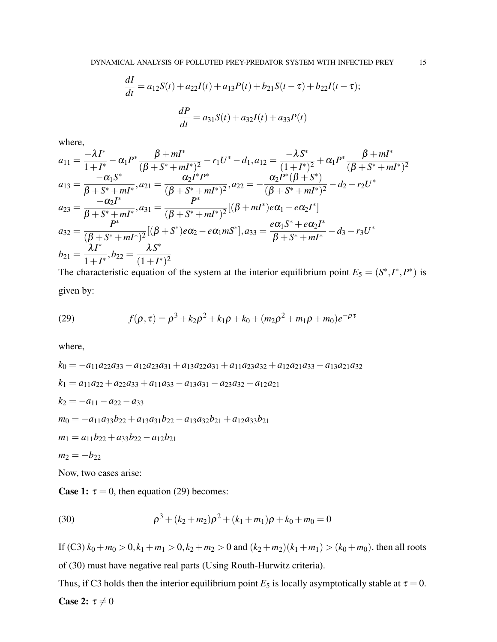$$
\frac{dI}{dt} = a_{12}S(t) + a_{22}I(t) + a_{13}P(t) + b_{21}S(t - \tau) + b_{22}I(t - \tau);
$$

$$
\frac{dP}{dt} = a_{31}S(t) + a_{32}I(t) + a_{33}P(t)
$$

where,

$$
a_{11} = \frac{-\lambda I^*}{1 + I^*} - \alpha_1 P^* \frac{\beta + mI^*}{(\beta + S^* + mI^*)^2} - r_1 U^* - d_1, a_{12} = \frac{-\lambda S^*}{(1 + I^*)^2} + \alpha_1 P^* \frac{\beta + mI^*}{(\beta + S^* + mI^*)^2}
$$
  
\n
$$
a_{13} = \frac{-\alpha_1 S^*}{\beta + S^* + mI^*}, a_{21} = \frac{\alpha_2 I^* P^*}{(\beta + S^* + mI^*)^2}, a_{22} = -\frac{\alpha_2 P^* (\beta + S^*)}{(\beta + S^* + mI^*)^2} - d_2 - r_2 U^*
$$
  
\n
$$
a_{23} = \frac{-\alpha_2 I^*}{\beta + S^* + mI^*}, a_{31} = \frac{P^*}{(\beta + S^* + mI^*)^2} [(\beta + mI^*)e\alpha_1 - e\alpha_2 I^*]
$$
  
\n
$$
a_{32} = \frac{P^*}{(\beta + S^* + mI^*)^2} [(\beta + S^*)e\alpha_2 - e\alpha_1 mS^*], a_{33} = \frac{e\alpha_1 S^* + e\alpha_2 I^*}{\beta + S^* + mI^*} - d_3 - r_3 U^*
$$
  
\n
$$
b_{21} = \frac{\lambda I^*}{1 + I^*}, b_{22} = \frac{\lambda S^*}{(1 + I^*)^2}
$$

The characteristic equation of the system at the interior equilibrium point  $E_5 = (S^*, I^*, P^*)$  is given by:

(29) 
$$
f(\rho,\tau) = \rho^3 + k_2 \rho^2 + k_1 \rho + k_0 + (m_2 \rho^2 + m_1 \rho + m_0) e^{-\rho \tau}
$$

where,

$$
k_0 = -a_{11}a_{22}a_{33} - a_{12}a_{23}a_{31} + a_{13}a_{22}a_{31} + a_{11}a_{23}a_{32} + a_{12}a_{21}a_{33} - a_{13}a_{21}a_{32}
$$
  
\n
$$
k_1 = a_{11}a_{22} + a_{22}a_{33} + a_{11}a_{33} - a_{13}a_{31} - a_{23}a_{32} - a_{12}a_{21}
$$
  
\n
$$
k_2 = -a_{11} - a_{22} - a_{33}
$$
  
\n
$$
m_0 = -a_{11}a_{33}b_{22} + a_{13}a_{31}b_{22} - a_{13}a_{32}b_{21} + a_{12}a_{33}b_{21}
$$
  
\n
$$
m_1 = a_{11}b_{22} + a_{33}b_{22} - a_{12}b_{21}
$$
  
\n
$$
m_2 = -b_{22}
$$

Now, two cases arise:

**Case 1:**  $\tau = 0$ , then equation (29) becomes:

(30) 
$$
\rho^3 + (k_2 + m_2)\rho^2 + (k_1 + m_1)\rho + k_0 + m_0 = 0
$$

If (C3)  $k_0 + m_0 > 0$ ,  $k_1 + m_1 > 0$ ,  $k_2 + m_2 > 0$  and  $(k_2 + m_2)(k_1 + m_1) > (k_0 + m_0)$ , then all roots of (30) must have negative real parts (Using Routh-Hurwitz criteria).

Thus, if C3 holds then the interior equilibrium point  $E_5$  is locally asymptotically stable at  $\tau = 0$ . Case 2:  $\tau \neq 0$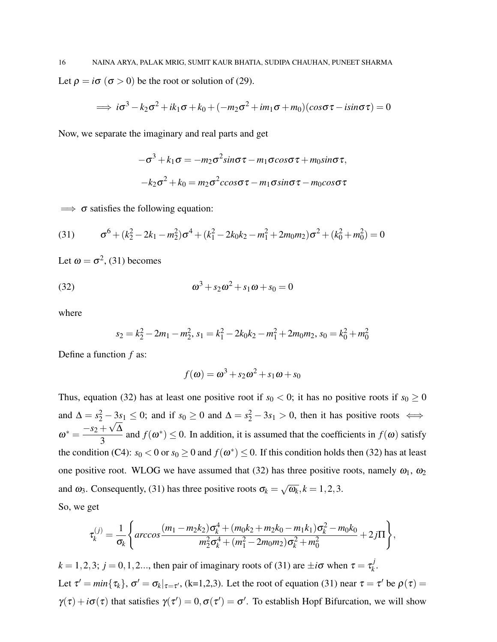$$
\implies i\sigma^3 - k_2\sigma^2 + ik_1\sigma + k_0 + (-m_2\sigma^2 + im_1\sigma + m_0)(\cos\sigma\tau - i\sin\sigma\tau) = 0
$$

Now, we separate the imaginary and real parts and get

$$
-\sigma^3 + k_1 \sigma = -m_2 \sigma^2 \sin \sigma \tau - m_1 \sigma \cos \sigma \tau + m_0 \sin \sigma \tau,
$$
  

$$
-k_2 \sigma^2 + k_0 = m_2 \sigma^2 \cos \sigma \tau - m_1 \sigma \sin \sigma \tau - m_0 \cos \sigma \tau
$$

 $\implies$   $\sigma$  satisfies the following equation:

(31) 
$$
\sigma^6 + (k_2^2 - 2k_1 - m_2^2)\sigma^4 + (k_1^2 - 2k_0k_2 - m_1^2 + 2m_0m_2)\sigma^2 + (k_0^2 + m_0^2) = 0
$$

Let  $\omega = \sigma^2$ , (31) becomes

(32) 
$$
\omega^3 + s_2 \omega^2 + s_1 \omega + s_0 = 0
$$

where

$$
s_2 = k_2^2 - 2m_1 - m_2^2, s_1 = k_1^2 - 2k_0k_2 - m_1^2 + 2m_0m_2, s_0 = k_0^2 + m_0^2
$$

Define a function *f* as:

$$
f(\boldsymbol{\omega}) = \boldsymbol{\omega}^3 + s_2 \boldsymbol{\omega}^2 + s_1 \boldsymbol{\omega} + s_0
$$

Thus, equation (32) has at least one positive root if  $s_0 < 0$ ; it has no positive roots if  $s_0 \ge 0$ and  $\Delta = s_2^2 - 3s_1 \leq 0$ ; and if  $s_0 \geq 0$  and  $\Delta = s_2^2 - 3s_1 > 0$ , then it has positive roots  $\iff$  $\omega^* = \frac{-s_2 + \sqrt{\Delta}}{2}$ 3 and  $f(\boldsymbol{\omega}^*) \leq 0$ . In addition, it is assumed that the coefficients in  $f(\boldsymbol{\omega})$  satisfy the condition (C4):  $s_0 < 0$  or  $s_0 \ge 0$  and  $f(\omega^*) \le 0$ . If this condition holds then (32) has at least one positive root. WLOG we have assumed that (32) has three positive roots, namely  $\omega_1$ ,  $\omega_2$ and  $\omega_3$ . Consequently, (31) has three positive roots  $\sigma_k = \sqrt{\omega_k}$ ,  $k = 1, 2, 3$ .

So, we get

$$
\tau_k^{(j)} = \frac{1}{\sigma_k} \left\{ \arccos \frac{(m_1 - m_2 k_2) \sigma_k^4 + (m_0 k_2 + m_2 k_0 - m_1 k_1) \sigma_k^2 - m_0 k_0}{m_2^2 \sigma_k^4 + (m_1^2 - 2m_0 m_2) \sigma_k^2 + m_0^2} + 2j \Pi \right\},\,
$$

 $k = 1, 2, 3; j = 0, 1, 2...$ , then pair of imaginary roots of (31) are  $\pm i\sigma$  when  $\tau = \tau_k^j$ *k* . Let  $\tau' = min\{\tau_k\}, \sigma' = \sigma_k|_{\tau = \tau'}$ , (k=1,2,3). Let the root of equation (31) near  $\tau = \tau'$  be  $\rho(\tau) =$  $\gamma(\tau) + i\sigma(\tau)$  that satisfies  $\gamma(\tau') = 0, \sigma(\tau') = \sigma'$ . To establish Hopf Bifurcation, we will show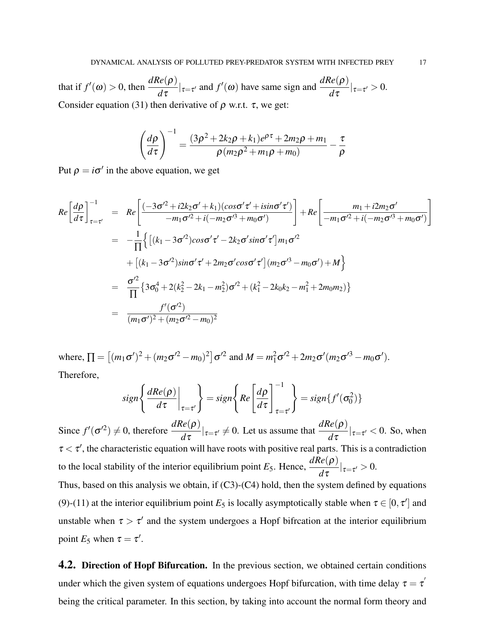that if  $f'(\omega) > 0$ , then  $\frac{dRe(\rho)}{d\tau}|_{\tau=\tau'}$  and  $f'(\omega)$  have same sign and  $\frac{dRe(\rho)}{d\tau}$  $\frac{d\tau}{d\tau}|_{\tau=\tau'}>0.$ Consider equation (31) then derivative of  $\rho$  w.r.t.  $\tau$ , we get:

$$
\left(\frac{d\rho}{d\tau}\right)^{-1} = \frac{(3\rho^2 + 2k_2\rho + k_1)e^{\rho\tau} + 2m_2\rho + m_1}{\rho(m_2\rho^2 + m_1\rho + m_0)} - \frac{\tau}{\rho}
$$

Put  $\rho = i\sigma'$  in the above equation, we get

$$
Re\left[\frac{d\rho}{d\tau}\right]_{\tau=\tau'}^{-1} = Re\left[\frac{(-3\sigma^2 + i2k_2\sigma' + k_1)(cos\sigma'\tau' + isin\sigma'\tau')}{-m_1\sigma^2 + i(-m_2\sigma^3 + m_0\sigma')}\right] + Re\left[\frac{m_1 + i2m_2\sigma'}{-m_1\sigma^2 + i(-m_2\sigma^3 + m_0\sigma')}\right]
$$
  
\n
$$
= -\frac{1}{\Pi}\left\{\left[(k_1 - 3\sigma^2)cos\sigma'\tau' - 2k_2\sigma'sin\sigma'\tau'\right]m_1\sigma'^2 + \left[(k_1 - 3\sigma^2)sin\sigma'\tau' + 2m_2\sigma'cos\sigma'\tau'\right](m_2\sigma'^3 - m_0\sigma') + M\right\}
$$
  
\n
$$
= \frac{\sigma'^2}{\Pi}\left\{3\sigma_0^4 + 2(k_2^2 - 2k_1 - m_2^2)\sigma'^2 + (k_1^2 - 2k_0k_2 - m_1^2 + 2m_0m_2)\right\}
$$
  
\n
$$
= \frac{f'(\sigma'^2)}{(m_1\sigma')^2 + (m_2\sigma'^2 - m_0)^2}
$$

where,  $\prod = \left[ (m_1 \sigma')^2 + (m_2 \sigma'^2 - m_0)^2 \right] \sigma'^2$  and  $M = m_1^2 \sigma'^2 + 2m_2 \sigma' (m_2 \sigma'^3 - m_0 \sigma')$ . Therefore,

$$
sign\left\{\frac{dRe(\rho)}{d\tau}\bigg|_{\tau=\tau'}\right\} = sign\left\{Re\left[\frac{d\rho}{d\tau}\right]_{\tau=\tau'}^{-1}\right\} = sign\{f'(\sigma_0^2)\}
$$

Since  $f'(\sigma'^2) \neq 0$ , therefore  $\frac{dRe(\rho)}{d\tau}|_{\tau=\tau'} \neq 0$ . Let us assume that  $\frac{dRe(\rho)}{d\tau}|_{\tau=\tau'} < 0$ . So, when  $\tau < \tau'$ , the characteristic equation will have roots with positive real parts. This is a contradiction to the local stability of the interior equilibrium point *E*5. Hence, *dRe*(ρ)  $\frac{d\tau}{d\tau}|_{\tau=\tau'}>0.$ 

Thus, based on this analysis we obtain, if (C3)-(C4) hold, then the system defined by equations (9)-(11) at the interior equilibrium point  $E_5$  is locally asymptotically stable when  $\tau \in [0, \tau']$  and unstable when  $\tau > \tau'$  and the system undergoes a Hopf bifrcation at the interior equilibrium point  $E_5$  when  $\tau = \tau'$ .

4.2. Direction of Hopf Bifurcation. In the previous section, we obtained certain conditions under which the given system of equations undergoes Hopf bifurcation, with time delay  $\tau = \tau^{'}$ being the critical parameter. In this section, by taking into account the normal form theory and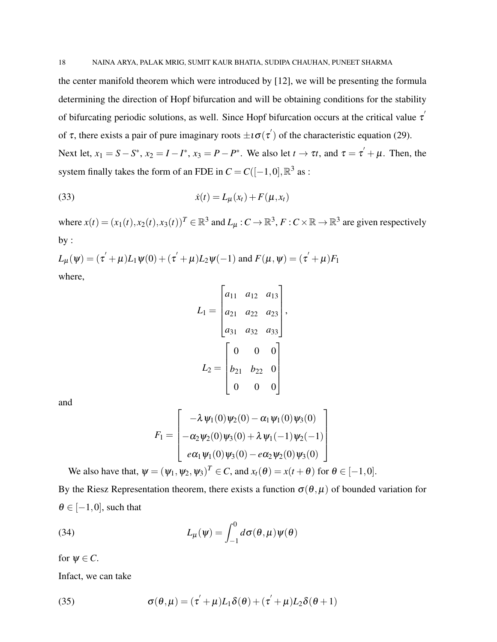the center manifold theorem which were introduced by [12], we will be presenting the formula determining the direction of Hopf bifurcation and will be obtaining conditions for the stability of bifurcating periodic solutions, as well. Since Hopf bifurcation occurs at the critical value  $\tau$ of  $\tau$ , there exists a pair of pure imaginary roots  $\pm i\sigma(\tau')$  of the characteristic equation (29).

Next let,  $x_1 = S - S^*$ ,  $x_2 = I - I^*$ ,  $x_3 = P - P^*$ . We also let  $t \to \tau t$ , and  $\tau = \tau' + \mu$ . Then, the system finally takes the form of an FDE in  $C = C([-1,0], \mathbb{R}^3 \text{ as : }$ 

(33) 
$$
\dot{x}(t) = L_{\mu}(x_t) + F(\mu, x_t)
$$

where  $x(t) = (x_1(t), x_2(t), x_3(t))^T \in \mathbb{R}^3$  and  $L_\mu : C \to \mathbb{R}^3$ ,  $F : C \times \mathbb{R} \to \mathbb{R}^3$  are given respectively by :

 $L_{\mu}(\psi) = (\tau' + \mu)L_1\psi(0) + (\tau' + \mu)L_2\psi(-1)$  and  $F(\mu, \psi) = (\tau' + \mu)F_1$ where,

$$
L_1 = \begin{bmatrix} a_{11} & a_{12} & a_{13} \\ a_{21} & a_{22} & a_{23} \\ a_{31} & a_{32} & a_{33} \end{bmatrix},
$$

$$
L_2 = \begin{bmatrix} 0 & 0 & 0 \\ b_{21} & b_{22} & 0 \\ 0 & 0 & 0 \end{bmatrix}
$$

and

$$
F_1 = \begin{bmatrix} -\lambda \psi_1(0) \psi_2(0) - \alpha_1 \psi_1(0) \psi_3(0) \\ -\alpha_2 \psi_2(0) \psi_3(0) + \lambda \psi_1(-1) \psi_2(-1) \\ e \alpha_1 \psi_1(0) \psi_3(0) - e \alpha_2 \psi_2(0) \psi_3(0) \end{bmatrix}
$$

We also have that,  $\psi = (\psi_1, \psi_2, \psi_3)^T \in C$ , and  $x_t(\theta) = x(t + \theta)$  for  $\theta \in [-1, 0]$ .

By the Riesz Representation theorem, there exists a function  $\sigma(\theta,\mu)$  of bounded variation for  $\theta \in [-1,0]$ , such that

(34) 
$$
L_{\mu}(\psi) = \int_{-1}^{0} d\sigma(\theta, \mu) \psi(\theta)
$$

for  $\psi \in C$ .

Infact, we can take

(35) 
$$
\sigma(\theta,\mu)=(\tau'+\mu)L_1\delta(\theta)+(\tau'+\mu)L_2\delta(\theta+1)
$$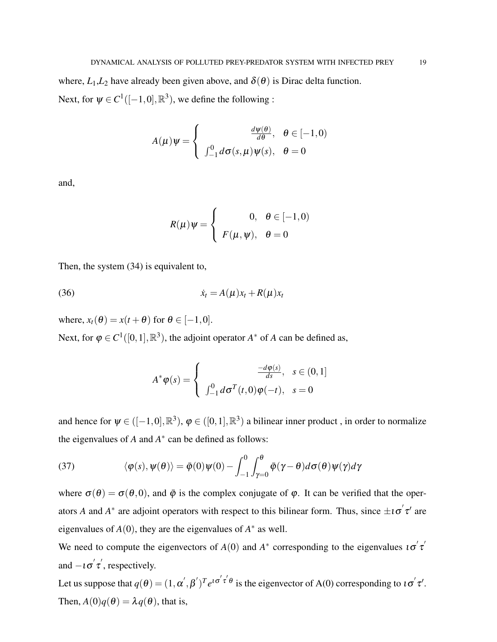where,  $L_1, L_2$  have already been given above, and  $\delta(\theta)$  is Dirac delta function. Next, for  $\psi \in C^1([-1,0],\mathbb{R}^3)$ , we define the following :

$$
A(\mu)\psi = \begin{cases} \frac{d\psi(\theta)}{d\theta}, & \theta \in [-1,0) \\ \int_{-1}^{0} d\sigma(s,\mu)\psi(s), & \theta = 0 \end{cases}
$$

and,

$$
R(\mu)\psi = \begin{cases} 0, & \theta \in [-1,0) \\ F(\mu,\psi), & \theta = 0 \end{cases}
$$

Then, the system (34) is equivalent to,

(36) ˙*x<sup>t</sup>* = *A*(µ)*x<sup>t</sup>* +*R*(µ)*x<sup>t</sup>*

where,  $x_t(\theta) = x(t + \theta)$  for  $\theta \in [-1,0]$ .

Next, for  $\varphi \in C^1([0,1], \mathbb{R}^3)$ , the adjoint operator  $A^*$  of *A* can be defined as,

$$
A^*\varphi(s) = \begin{cases} \frac{-d\varphi(s)}{ds}, & s \in (0,1] \\ \int_{-1}^0 d\sigma^T(t,0)\varphi(-t), & s = 0 \end{cases}
$$

and hence for  $\psi \in ([-1,0], \mathbb{R}^3)$ ,  $\varphi \in ([0,1], \mathbb{R}^3)$  a bilinear inner product, in order to normalize the eigenvalues of  $A$  and  $A^*$  can be defined as follows:

(37) 
$$
\langle \varphi(s), \psi(\theta) \rangle = \bar{\varphi}(0) \psi(0) - \int_{-1}^{0} \int_{\gamma=0}^{\theta} \bar{\varphi}(\gamma - \theta) d\sigma(\theta) \psi(\gamma) d\gamma
$$

where  $\sigma(\theta) = \sigma(\theta, 0)$ , and  $\bar{\varphi}$  is the complex conjugate of  $\varphi$ . It can be verified that the operators *A* and  $A^*$  are adjoint operators with respect to this bilinear form. Thus, since  $\pm i\sigma'\tau'$  are eigenvalues of  $A(0)$ , they are the eigenvalues of  $A^*$  as well.

We need to compute the eigenvectors of  $A(0)$  and  $A^*$  corresponding to the eigenvalues  $i\sigma'\tau'$ and  $-i\sigma'\tau'$ , respectively.

Let us suppose that  $q(\theta) = (1, \alpha', \beta')^T e^{i\sigma' \tau' \theta}$  is the eigenvector of A(0) corresponding to  $i\sigma' \tau'$ . Then,  $A(0)q(\theta) = \lambda q(\theta)$ , that is,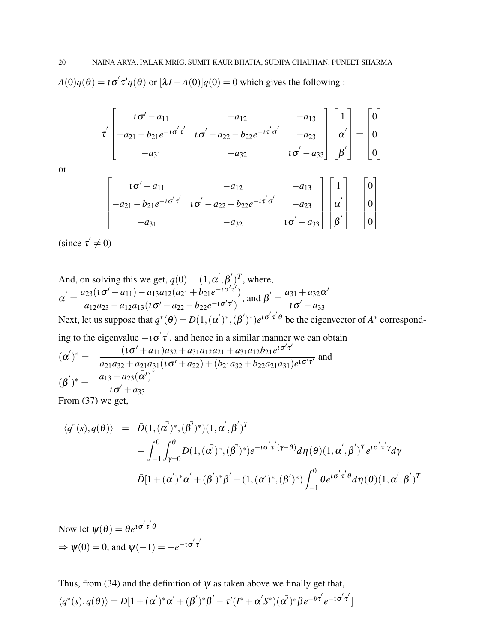$A(0)q(\theta) = i \sigma' \tau' q(\theta)$  or  $[\lambda I - A(0)]q(0) = 0$  which gives the following :

$$
\tau \begin{bmatrix} 1\sigma' - a_{11} & -a_{12} & -a_{13} \\ -a_{21} - b_{21}e^{-t\sigma'\tau'} & t\sigma' - a_{22} - b_{22}e^{-t\tau'\sigma'} & -a_{23} \\ -a_{31} & -a_{32} & t\sigma' - a_{33} \end{bmatrix} \begin{bmatrix} 1 \\ \alpha' \\ \beta' \end{bmatrix} = \begin{bmatrix} 0 \\ 0 \\ 0 \end{bmatrix}
$$

or

$$
\begin{bmatrix} t\sigma' - a_{11} & -a_{12} & -a_{13} \\ -a_{21} - b_{21}e^{-t\sigma'\tau'} & t\sigma' - a_{22} - b_{22}e^{-t\tau'\sigma'} & -a_{23} \\ -a_{31} & -a_{32} & t\sigma' - a_{33} \end{bmatrix} \begin{bmatrix} 1 \\ \alpha' \\ \beta' \end{bmatrix} = \begin{bmatrix} 0 \\ 0 \\ 0 \end{bmatrix}
$$

(since  $\tau' \neq 0$ )

And, on solving this we get, 
$$
q(0) = (1, \alpha', \beta')^T
$$
, where,  
\n
$$
\alpha' = \frac{a_{23}(t\sigma' - a_{11}) - a_{13}a_{12}(a_{21} + b_{21}e^{-t\sigma'\tau'})}{a_{12}a_{23} - a_{12}a_{13}(t\sigma' - a_{22} - b_{22}e^{-t\sigma'\tau'})}
$$
, and  $\beta' = \frac{a_{31} + a_{32}\alpha'}{t\sigma' - a_{33}}$   
\nNext, let us suppose that  $q^*(\theta) = D(1, (\alpha')^*, (\beta')^*)e^{t\sigma'\tau'\theta}$  be the eigenvector of  $A^*$  corresponding to the eigenvalue  $-t\sigma'\tau'$ , and hence in a similar manner we can obtain  
\n
$$
(\alpha')^* = -\frac{(t\sigma' + a_{11})a_{32} + a_{31}a_{12}a_{21} + a_{31}a_{12}b_{21}e^{t\sigma'\tau'}}{a_{21}a_{32} + a_{21}a_{31}(t\sigma' + a_{22}) + (b_{21}a_{32} + b_{22}a_{21}a_{31})e^{t\sigma'\tau'}}
$$
 and  
\n
$$
(\beta')^* = -\frac{a_{13} + a_{23}(\alpha')^*}{t\sigma' + a_{33}}
$$
  
\nFrom (37) we get

From (37) we get,

$$
\langle q^*(s), q(\theta) \rangle = \bar{D}(1, (\alpha^7)^*, (\beta^7)^*) (1, \alpha^7, \beta^7)
$$
  

$$
- \int_{-1}^0 \int_{\gamma=0}^{\theta} \bar{D}(1, (\alpha^7)^*, (\beta^7)^*) e^{-i\sigma^7 \tau^7} (\gamma-\theta) d\eta(\theta) (1, \alpha^7, \beta^7)^T e^{i\sigma^7 \tau^7} d\gamma
$$
  

$$
= \bar{D}[1+(\alpha^7)^* \alpha^7 + (\beta^7)^* \beta^7 - (1, (\alpha^7)^*, (\beta^7)^*) \int_{-1}^0 \theta e^{i\sigma^7 \tau^7} d\eta(\theta) (1, \alpha^7, \beta^7)^T
$$

Now let  $\psi(\theta) = \theta e^{i \sigma' \tau' \theta}$  $\Rightarrow \psi(0) = 0$ , and  $\psi(-1) = -e^{-i\sigma'\tau'}$ 

Thus, from (34) and the definition of  $\psi$  as taken above we finally get that,

$$
\langle q^*(s), q(\theta) \rangle = \bar{D} [1 + (\alpha')^* \alpha' + (\beta')^* \beta' - \tau' (I^* + \alpha' S^*)(\alpha')^* \beta e^{-b\tau'} e^{-i\sigma'\tau'}]
$$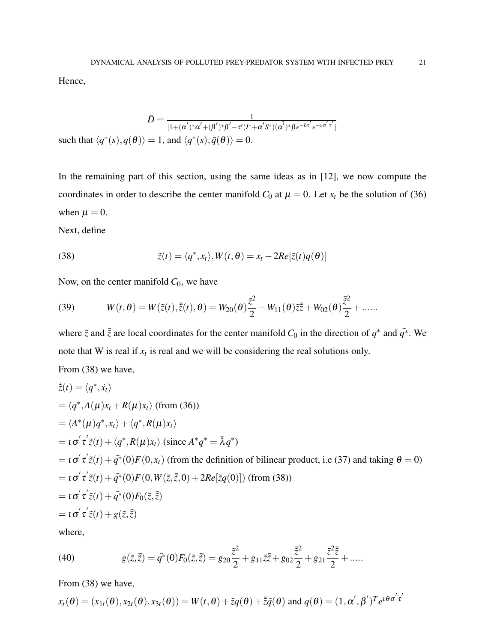Hence,

$$
\bar{D} = \frac{1}{[1+(\alpha')^*\alpha'+(\beta')^*\beta'-\tau'(I^*+\alpha'\overline{S^*})(\alpha')^*\beta e^{-b\tau'}e^{-i\sigma'\tau'}]}
$$
 such that  $\langle q^*(s), q(\theta) \rangle = 1$ , and  $\langle q^*(s), \bar{q}(\theta) \rangle = 0$ .

In the remaining part of this section, using the same ideas as in [12], we now compute the coordinates in order to describe the center manifold  $C_0$  at  $\mu = 0$ . Let  $x_t$  be the solution of (36) when  $\mu = 0$ .

Next, define

(38) 
$$
\tilde{z}(t) = \langle q^*, x_t \rangle, W(t, \theta) = x_t - 2Re[\tilde{z}(t)q(\theta)]
$$

Now, on the center manifold  $C_0$ , we have

(39) 
$$
W(t, \theta) = W(\tilde{z}(t), \bar{\tilde{z}}(t), \theta) = W_{20}(\theta) \frac{\tilde{z}^2}{2} + W_{11}(\theta) \tilde{z} \bar{\tilde{z}} + W_{02}(\theta) \frac{\bar{z}^2}{2} + \dots
$$

where  $\tilde{z}$  and  $\bar{\tilde{z}}$  are local coordinates for the center manifold  $C_0$  in the direction of  $q^*$  and  $\bar{q^*}$ . We note that W is real if  $x_t$  is real and we will be considering the real solutions only.

From (38) we have,

$$
\dot{\tilde{z}}(t) = \langle q^*, \dot{x}_t \rangle
$$
\n
$$
= \langle q^*, A(\mu)x_t + R(\mu)x_t \rangle \text{ (from (36))}
$$
\n
$$
= \langle A^*(\mu)q^*, x_t \rangle + \langle q^*, R(\mu)x_t \rangle
$$
\n
$$
= \iota \sigma' \tau' \tilde{z}(t) + \langle q^*, R(\mu)x_t \rangle \text{ (since } A^*q^* = \bar{\lambda}q^*)
$$
\n
$$
= \iota \sigma' \tau' \tilde{z}(t) + \bar{q}^*(0)F(0, x_t) \text{ (from the definition of bilinear product, i.e (37) and taking } \theta = 0)
$$
\n
$$
= \iota \sigma' \tau' \tilde{z}(t) + \bar{q}^*(0)F(0, W(\tilde{z}, \bar{\tilde{z}}, 0) + 2Re[\tilde{z}q(0)]) \text{ (from (38))}
$$
\n
$$
= \iota \sigma' \tau' \tilde{z}(t) + \bar{q}^*(0)F_0(\tilde{z}, \bar{\tilde{z}})
$$
\n
$$
= \iota \sigma' \tau' \tilde{z}(t) + g(\tilde{z}, \bar{\tilde{z}})
$$

where,

(40) 
$$
g(\tilde{z}, \tilde{\bar{z}}) = \bar{q}^*(0) F_0(\tilde{z}, \tilde{\bar{z}}) = g_{20} \frac{\tilde{z}^2}{2} + g_{11} \tilde{z} \tilde{\bar{z}} + g_{02} \frac{\tilde{\bar{z}}^2}{2} + g_{21} \frac{\tilde{z}^2 \tilde{\bar{z}}}{2} + \dots
$$

From (38) we have,

$$
x_t(\theta) = (x_{1t}(\theta), x_{2t}(\theta), x_{3t}(\theta)) = W(t, \theta) + \tilde{z}q(\theta) + \tilde{\bar{z}}\bar{q}(\theta)
$$
 and  $q(\theta) = (1, \alpha', \beta')^T e^{i\theta \sigma' \tau'}$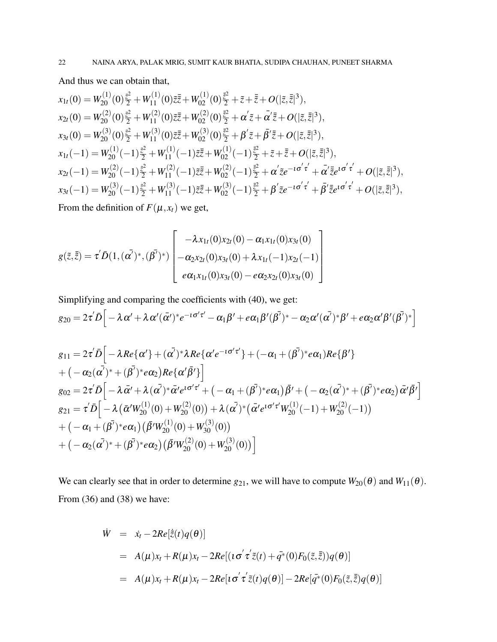And thus we can obtain that,

$$
x_{1t}(0) = W_{20}^{(1)}(0)\tilde{z}^{2} + W_{11}^{(1)}(0)\tilde{z}\tilde{z} + W_{02}^{(1)}(0)\tilde{z}^{2} + \tilde{z} + \tilde{z} + O(|\tilde{z}, \tilde{z}|^{3}),
$$
  
\n
$$
x_{2t}(0) = W_{20}^{(2)}(0)\tilde{z}^{2} + W_{11}^{(2)}(0)\tilde{z}\tilde{z} + W_{02}^{(2)}(0)\tilde{z}^{2} + \alpha'\tilde{z} + \tilde{\alpha}'\tilde{z} + O(|\tilde{z}, \tilde{z}|^{3}),
$$
  
\n
$$
x_{3t}(0) = W_{20}^{(3)}(0)\tilde{z}^{2} + W_{11}^{(3)}(0)\tilde{z}\tilde{z} + W_{02}^{(3)}(0)\tilde{z}^{2} + \beta'\tilde{z} + \tilde{\beta}'\tilde{z} + O(|\tilde{z}, \tilde{z}|^{3}),
$$
  
\n
$$
x_{1t}(-1) = W_{20}^{(1)}(-1)\tilde{z}^{2} + W_{11}^{(1)}(-1)\tilde{z}\tilde{z} + W_{02}^{(1)}(-1)\tilde{z}^{2} + \tilde{z} + \tilde{z} + O(|\tilde{z}, \tilde{z}|^{3}),
$$
  
\n
$$
x_{2t}(-1) = W_{20}^{(2)}(-1)\tilde{z}^{2} + W_{11}^{(2)}(-1)\tilde{z}\tilde{z} + W_{02}^{(2)}(-1)\tilde{z}^{2} + \alpha'\tilde{z}e^{-i\sigma'\tau'} + \tilde{\alpha}'\tilde{z}e^{i\sigma'\tau'} + O(|\tilde{z}, \tilde{z}|^{3}),
$$
  
\n
$$
x_{3t}(-1) = W_{20}^{(3)}(-1)\tilde{z}^{2} + W_{11}^{(3)}(-1)\tilde{z}\tilde{z} + W_{02}^{(3)}(-1)\tilde{z}^{2} + \beta'\tilde{z}e^{-i\sigma'\tau'} + \tilde{\beta}'\tilde{z}e^{i\sigma'\tau'} + O(|\tilde{z}, \tilde{z}|^{3}),
$$
  
\n

From the definition of  $F(\mu, x_t)$  we get,

$$
g(\tilde{z},\tilde{\bar{z}}) = \tau' \bar{D}(1,(\alpha^7)^*,(\beta^7)^*) \begin{bmatrix} -\lambda x_{1t}(0)x_{2t}(0) - \alpha_1 x_{1t}(0)x_{3t}(0) \\ -\alpha_2 x_{2t}(0)x_{3t}(0) + \lambda x_{1t}(-1)x_{2t}(-1) \\ e\alpha_1 x_{1t}(0)x_{3t}(0) - e\alpha_2 x_{2t}(0)x_{3t}(0) \end{bmatrix}
$$

Simplifying and comparing the coefficients with (40), we get:  $g_{20} = 2\tau^{'}\bar{D}\Big[-\lambda\,\alpha'+\lambda\,\alpha'(\bar{\alpha}')^*e^{-\mathrm{i}\,\sigma'\tau'} - \alpha_1\beta'+e\alpha_1\beta'(\beta^{\bar{\imath}})^* - \alpha_2\alpha'(\alpha^{\bar{\imath}})^*\beta' + e\alpha_2\alpha'\beta'(\beta^{\bar{\imath}})^*\Big]$ 

$$
g_{11} = 2\tau' \bar{D} \Big[ -\lambda Re \{ \alpha' \} + (\bar{\alpha'})^* \lambda Re \{ \alpha' e^{-i\sigma' \tau'} \} + (-\alpha_1 + (\bar{\beta'})^* e \alpha_1) Re \{ \beta' \} + (-\alpha_2 (\bar{\alpha'})^* + (\bar{\beta'})^* e \alpha_2) Re \{ \alpha' \bar{\beta'} \} \Big] g_{02} = 2\tau' \bar{D} \Big[ -\lambda \bar{\alpha'} + \lambda (\bar{\alpha'})^* \bar{\alpha'} e^{i\sigma' \tau'} + (-\alpha_1 + (\bar{\beta'})^* e \alpha_1) \bar{\beta'} + (-\alpha_2 (\bar{\alpha'})^* + (\bar{\beta'})^* e \alpha_2) \bar{\alpha'} \bar{\beta'} \Big] g_{21} = \tau' \bar{D} \Big[ -\lambda (\bar{\alpha'} W_{20}^{(1)}(0) + W_{20}^{(2)}(0)) + \lambda (\bar{\alpha'})^* (\bar{\alpha'} e^{i\sigma' \tau'} W_{20}^{(1)}(-1) + W_{20}^{(2)}(-1)) + (-\alpha_1 + (\bar{\beta'})^* e \alpha_1) (\bar{\beta'} W_{20}^{(1)}(0) + W_{30}^{(3)}(0)) + (-\alpha_2 (\bar{\alpha'})^* + (\bar{\beta'})^* e \alpha_2) (\bar{\beta'} W_{20}^{(2)}(0) + W_{20}^{(3)}(0)) \Big]
$$

We can clearly see that in order to determine  $g_{21}$ , we will have to compute  $W_{20}(\theta)$  and  $W_{11}(\theta)$ . From (36) and (38) we have:

$$
\dot{W} = \dot{x}_t - 2Re[\dot{\tilde{z}}(t)q(\theta)]
$$
\n
$$
= A(\mu)x_t + R(\mu)x_t - 2Re[(\iota \sigma' \tau' \tilde{z}(t) + \bar{q}^*(0)F_0(\tilde{z}, \tilde{\tilde{z}}))q(\theta)]
$$
\n
$$
= A(\mu)x_t + R(\mu)x_t - 2Re[\iota \sigma' \tau' \tilde{z}(t)q(\theta)] - 2Re[\bar{q}^*(0)F_0(\tilde{z}, \tilde{\tilde{z}})q(\theta)]
$$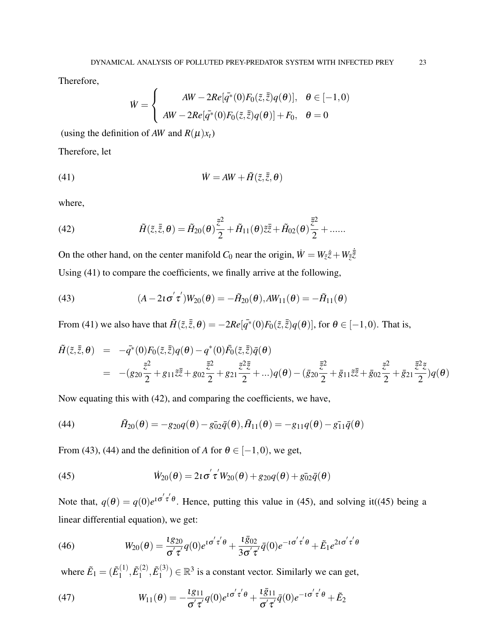Therefore,

$$
\dot{W} = \begin{cases}\nAW - 2Re[\bar{q}^*(0)F_0(\tilde{z}, \tilde{\bar{z}})q(\theta)], & \theta \in [-1, 0) \\
AW - 2Re[\bar{q}^*(0)F_0(\tilde{z}, \tilde{\bar{z}})q(\theta)] + F_0, & \theta = 0\n\end{cases}
$$

(using the definition of *AW* and  $R(\mu)x_t$ )

Therefore, let

(41) 
$$
\dot{W} = AW + \tilde{H}(\tilde{z}, \bar{\tilde{z}}, \theta)
$$

where,

(42) 
$$
\tilde{H}(\tilde{z},\bar{\tilde{z}},\theta) = \tilde{H}_{20}(\theta)\frac{\tilde{z}^2}{2} + \tilde{H}_{11}(\theta)\tilde{z}\bar{\tilde{z}} + \tilde{H}_{02}(\theta)\frac{\tilde{\tilde{z}}^2}{2} + \dots
$$

On the other hand, on the center manifold  $C_0$  near the origin,  $\dot{W} = W_{\tilde{z}} \dot{\tilde{z}} + W_{\tilde{z}} \dot{\tilde{z}}$ Using (41) to compare the coefficients, we finally arrive at the following,

(43) 
$$
(A - 2i\sigma' \tau')W_{20}(\theta) = -\tilde{H}_{20}(\theta), AW_{11}(\theta) = -\tilde{H}_{11}(\theta)
$$

From (41) we also have that  $\tilde{H}(\tilde{z}, \tilde{\bar{z}}, \theta) = -2Re[\bar{q}^*(0)F_0(\tilde{z}, \tilde{\bar{z}})q(\theta)]$ , for  $\theta \in [-1, 0)$ . That is,

$$
\tilde{H}(\tilde{z},\bar{\tilde{z}},\theta) = -\bar{q}^*(0)F_0(\tilde{z},\bar{\tilde{z}})q(\theta) - q^*(0)\bar{F}_0(\tilde{z},\bar{\tilde{z}})\bar{q}(\theta) \n= -(g_{20}\frac{\tilde{z}^2}{2} + g_{11}\tilde{z}\bar{\tilde{z}} + g_{02}\frac{\tilde{z}^2}{2} + g_{21}\frac{\tilde{z}^2\bar{z}}{2} + \cdots)q(\theta) - (\bar{g}_{20}\frac{\tilde{z}^2}{2} + \bar{g}_{11}\tilde{z}\bar{\tilde{z}} + \bar{g}_{02}\frac{\tilde{z}^2}{2} + \bar{g}_{21}\frac{\tilde{z}^2\tilde{z}}{2})q(\theta)
$$

Now equating this with (42), and comparing the coefficients, we have,

(44) 
$$
\tilde{H}_{20}(\theta) = -g_{20}q(\theta) - g_{02}q(\theta), \tilde{H}_{11}(\theta) = -g_{11}q(\theta) - g_{11}q(\theta)
$$

From (43), (44) and the definition of *A* for  $\theta \in [-1,0)$ , we get,

(45) 
$$
\dot{W}_{20}(\theta) = 2\iota\sigma'\tau'W_{20}(\theta) + g_{20}q(\theta) + g_{02}q(\theta)
$$

Note that,  $q(\theta) = q(0)e^{i\sigma' \tau' \theta}$ . Hence, putting this value in (45), and solving it((45) being a linear differential equation), we get:

(46) 
$$
W_{20}(\theta) = \frac{lg_{20}}{\sigma' \tau'} q(0) e^{i \sigma' \tau' \theta} + \frac{l \bar{g}_{02}}{3 \sigma' \tau'} \bar{q}(0) e^{-i \sigma' \tau' \theta} + \tilde{E}_1 e^{2i \sigma' \tau' \theta}
$$

where  $\tilde{E}_1 = (\tilde{E}_1^{(1)})$  $\tilde{L}_1^{(1)},\tilde{E}_1^{(2)}$  $\tilde{L}_1^{(2)},\tilde{E}_1^{(3)}$  $\binom{3}{1}$   $\in \mathbb{R}^3$  is a constant vector. Similarly we can get,

(47) 
$$
W_{11}(\theta) = -\frac{lg_{11}}{\sigma'\tau'}q(0)e^{i\sigma'\tau'\theta} + \frac{l\bar{g}_{11}}{\sigma'\tau'}\bar{q}(0)e^{-i\sigma'\tau'\theta} + \tilde{E}_2
$$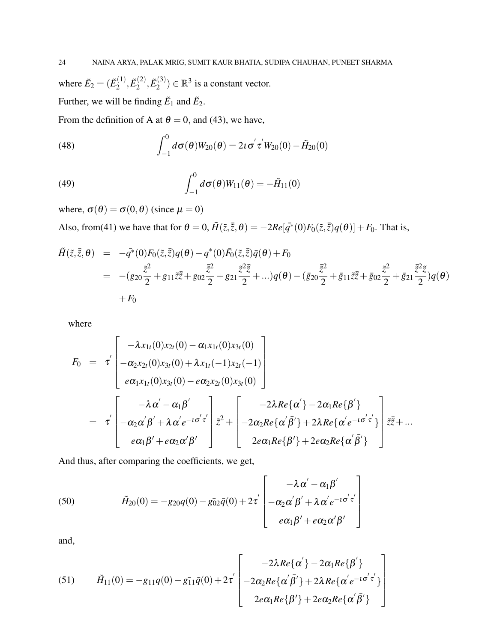where  $\tilde{E}_2 = (\tilde{E}_2^{(1)}$  $\tilde{\epsilon}_2^{(1)},\tilde{E}_2^{(2)}$  $\tilde{\epsilon}_2^{(2)},\tilde{E}_2^{(3)}$  $\binom{13}{2}$   $\in \mathbb{R}^3$  is a constant vector. Further, we will be finding  $\tilde{E}_1$  and  $\tilde{E}_2$ .

From the definition of A at  $\theta = 0$ , and (43), we have,

(48) 
$$
\int_{-1}^{0} d\sigma(\theta) W_{20}(\theta) = 2i \sigma' \tau' W_{20}(0) - \tilde{H}_{20}(0)
$$

(49) 
$$
\int_{-1}^{0} d\sigma(\theta) W_{11}(\theta) = -\tilde{H}_{11}(0)
$$

where,  $\sigma(\theta) = \sigma(0, \theta)$  (since  $\mu = 0$ )

Also, from(41) we have that for  $\theta = 0$ ,  $\tilde{H}(\tilde{z}, \tilde{\bar{z}}, \theta) = -2Re[\bar{q}^*(0)F_0(\tilde{z}, \tilde{\bar{z}})q(\theta)] + F_0$ . That is,

$$
\tilde{H}(\tilde{z}, \tilde{\bar{z}}, \theta) = -\bar{q}^*(0) F_0(\tilde{z}, \tilde{\bar{z}}) q(\theta) - q^*(0) \bar{F}_0(\tilde{z}, \tilde{\bar{z}}) \bar{q}(\theta) + F_0
$$
\n
$$
= -(g_{20} \frac{\tilde{z}^2}{2} + g_{11} \tilde{z} \bar{\bar{z}} + g_{02} \frac{\tilde{z}^2}{2} + g_{21} \frac{\tilde{z}^2 \bar{z}}{2} + \ldots) q(\theta) - (\bar{g}_{20} \frac{\tilde{z}^2}{2} + \bar{g}_{11} \tilde{z} \bar{\bar{z}} + \bar{g}_{02} \frac{\tilde{z}^2}{2} + \bar{g}_{21} \frac{\tilde{z}^2 \tilde{z}}{2}) q(\theta)
$$
\n
$$
+ F_0
$$

where

$$
F_0 = \tau \begin{bmatrix} -\lambda x_{1t}(0)x_{2t}(0) - \alpha_1 x_{1t}(0)x_{3t}(0) \\ -\alpha_2 x_{2t}(0)x_{3t}(0) + \lambda x_{1t}(-1)x_{2t}(-1) \\ e\alpha_1 x_{1t}(0)x_{3t}(0) - e\alpha_2 x_{2t}(0)x_{3t}(0) \end{bmatrix}
$$
  
=  $\tau \begin{bmatrix} -\lambda \alpha' - \alpha_1 \beta' \\ -\alpha_2 \alpha' \beta' + \lambda \alpha' e^{-i\sigma' \tau'} \\ e\alpha_1 \beta' + e\alpha_2 \alpha' \beta' \end{bmatrix} \tilde{z}^2 + \begin{bmatrix} -2\lambda Re\{\alpha'\} - 2\alpha_1 Re\{\beta'\} \\ -2\alpha_2 Re\{\alpha' \bar{\beta'}\} + 2\lambda Re\{\alpha' e^{-i\sigma' \tau'}\} \\ 2e\alpha_1 Re\{\beta'\} + 2e\alpha_2 Re\{\alpha' \bar{\beta'}\} \end{bmatrix} \tilde{z}\tilde{z} + ...$ 

And thus, after comparing the coefficients, we get,

(50) 
$$
\tilde{H}_{20}(0) = -g_{20}q(0) - g_{02}q(0) + 2\tau \begin{bmatrix} -\lambda \alpha' - \alpha_1 \beta' \\ -\alpha_2 \alpha' \beta' + \lambda \alpha' e^{-i\sigma' \tau'} \\ e\alpha_1 \beta' + e\alpha_2 \alpha' \beta' \end{bmatrix}
$$

and,

(51) 
$$
\tilde{H}_{11}(0) = -g_{11}q(0) - g_{11}\bar{q}(0) + 2\tau' \begin{bmatrix} -2\lambda Re\{\alpha'\} - 2\alpha_1 Re\{\beta'\} \\ -2\alpha_2 Re\{\alpha'\bar{\beta'}\} + 2\lambda Re\{\alpha' e^{-i\sigma'\tau'}\} \\ 2e\alpha_1 Re\{\beta'\} + 2e\alpha_2 Re\{\alpha'\bar{\beta'}\} \end{bmatrix}
$$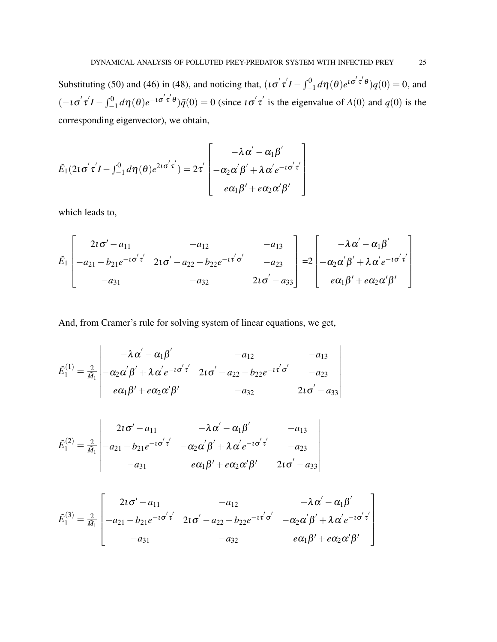Substituting (50) and (46) in (48), and noticing that,  $(i\sigma'\tau'I - \int_{-1}^{0} d\eta(\theta)e^{i\sigma'\tau'\theta})q(0) = 0$ , and  $(-i\sigma'\tau' - \int_{-1}^{0} d\eta(\theta)e^{-i\sigma'\tau'\theta})\bar{q}(0) = 0$  (since  $i\sigma'\tau'$  is the eigenvalue of *A*(0) and *q*(0) is the corresponding eigenvector), we obtain,

$$
\tilde{E}_1(2\iota\sigma'\tau'I - \int_{-1}^0 d\eta(\theta)e^{2\iota\sigma'\tau'}\n=2\tau'\n\begin{bmatrix}\n-\lambda\alpha'-\alpha_1\beta' \\
-\alpha_2\alpha'\beta'+\lambda\alpha'e^{-\iota\sigma'\tau'} \\
e\alpha_1\beta'+e\alpha_2\alpha'\beta'\n\end{bmatrix}
$$

which leads to,

$$
\tilde{E}_{1}\begin{bmatrix} 2i\sigma' - a_{11} & -a_{12} & -a_{13} \\ -a_{21} - b_{21}e^{-i\sigma'\tau'} & 2i\sigma' - a_{22} - b_{22}e^{-i\tau'\sigma'} & -a_{23} \\ -a_{31} & -a_{32} & 2i\sigma' - a_{33} \end{bmatrix} = 2\begin{bmatrix} -\lambda\alpha' - \alpha_{1}\beta' \\ -\alpha_{2}\alpha'\beta' + \lambda\alpha'e^{-i\sigma'\tau'} \\ e\alpha_{1}\beta' + e\alpha_{2}\alpha'\beta' \end{bmatrix}
$$

And, from Cramer's rule for solving system of linear equations, we get,

$$
\tilde{E}_1^{(1)} = \frac{2}{\tilde{M}_1} \begin{vmatrix}\n-\lambda \alpha' - \alpha_1 \beta' & -a_{12} & -a_{13} \\
-\alpha_2 \alpha' \beta' + \lambda \alpha' e^{-i \sigma' \tau'} & 2i \sigma' - a_{22} - b_{22} e^{-i \tau' \sigma'} & -a_{23} \\
e\alpha_1 \beta' + e\alpha_2 \alpha' \beta' & -a_{32} & 2i \sigma' - a_{33}\n\end{vmatrix}
$$

$$
\tilde{E}_1^{(2)} = \frac{2}{\tilde{M}_1} \begin{vmatrix}\n2i\sigma' - a_{11} & -\lambda \alpha' - \alpha_1 \beta' & -a_{13} \\
-a_{21} - b_{21}e^{-i\sigma'\tau'} & -\alpha_2 \alpha' \beta' + \lambda \alpha' e^{-i\sigma'\tau'} & -a_{23} \\
-a_{31} & e\alpha_1 \beta' + e\alpha_2 \alpha' \beta' & 2i\sigma' - a_{33}\n\end{vmatrix}
$$

$$
\tilde{E}_1^{(3)} = \frac{2}{\tilde{M}_1} \begin{bmatrix} 2i\sigma' - a_{11} & -a_{12} & -\lambda \alpha' - \alpha_1 \beta' \\ -a_{21} - b_{21}e^{-i\sigma'\tau'} & 2i\sigma' - a_{22} - b_{22}e^{-i\tau'\sigma'} & -\alpha_2 \alpha' \beta' + \lambda \alpha' e^{-i\sigma'\tau'} \\ -a_{31} & -a_{32} & e\alpha_1 \beta' + e\alpha_2 \alpha' \beta' \end{bmatrix}
$$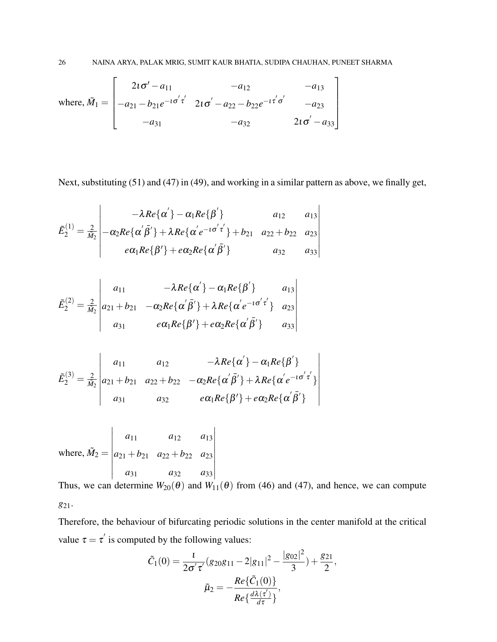where, 
$$
\tilde{M}_1 = \begin{bmatrix} 2t\sigma' - a_{11} & -a_{12} & -a_{13} \\ -a_{21} - b_{21}e^{-t\sigma'\tau'} & 2t\sigma' - a_{22} - b_{22}e^{-t\tau'\sigma'} & -a_{23} \\ -a_{31} & -a_{32} & 2t\sigma' - a_{33} \end{bmatrix}
$$

Next, substituting (51) and (47) in (49), and working in a similar pattern as above, we finally get,

$$
\tilde{E}_2^{(1)} = \frac{2}{\tilde{M}_2} \begin{vmatrix}\n-\lambda Re\{\alpha^{\prime}\} - \alpha_1 Re\{\beta^{\prime}\} & a_{12} & a_{13} \\
-\alpha_2 Re\{\alpha^{\prime} \bar{\beta}^{\prime}\} + \lambda Re\{\alpha^{\prime} e^{-i\sigma^{\prime} \tau^{\prime}}\} + b_{21} & a_{22} + b_{22} & a_{23} \\
e\alpha_1 Re\{\beta^{\prime}\} + e\alpha_2 Re\{\alpha^{\prime} \bar{\beta}^{\prime}\} & a_{32} & a_{33}\n\end{vmatrix}
$$

$$
\tilde{E}_2^{(2)} = \frac{2}{\tilde{M}_2} \begin{vmatrix} a_{11} & -\lambda Re\{\alpha'\} - \alpha_1 Re\{\beta'\} & a_{13} \\ a_{21} + b_{21} & -\alpha_2 Re\{\alpha'\bar{\beta'}\} + \lambda Re\{\alpha'e^{-i\sigma'\tau'}\} & a_{23} \\ a_{31} & e\alpha_1 Re\{\beta'\} + e\alpha_2 Re\{\alpha'\bar{\beta'}\} & a_{33} \end{vmatrix}
$$

$$
\tilde{E}_{2}^{(3)} = \frac{2}{\tilde{M}_{2}} \begin{vmatrix} a_{11} & a_{12} & -\lambda Re{\{\alpha}^{'}\} - \alpha_{1} Re{\{\beta}^{'}\} \\ a_{21} + b_{21} & a_{22} + b_{22} & -\alpha_{2} Re{\{\alpha}^{'} \tilde{\beta}^{'}\} + \lambda Re{\{\alpha}^{'} e^{-1 \sigma^{'} \tau^{'}\}} \\ a_{31} & a_{32} & e\alpha_{1} Re{\{\beta}^{'}\} + e\alpha_{2} Re{\{\alpha}^{'} \tilde{\beta}^{'}\} \end{vmatrix}
$$

where,  $\tilde{M}_2 =$   $\begin{vmatrix} u_{31} & u_{32} & u_{33} \end{vmatrix}$  $a_{11}$   $a_{12}$   $a_{13}$ *a*<sup>21</sup> +*b*<sup>21</sup> *a*<sup>22</sup> +*b*<sup>22</sup> *a*<sup>23</sup>  $a_{31}$   $a_{32}$   $a_{33}$ 

Thus, we can determine  $W_{20}(\theta)$  and  $W_{11}(\theta)$  from (46) and (47), and hence, we can compute *g*21.

 

Therefore, the behaviour of bifurcating periodic solutions in the center manifold at the critical value  $\tau = \tau'$  is computed by the following values:

$$
\tilde{C}_1(0) = \frac{1}{2\sigma'\tau'}(g_{20}g_{11} - 2|g_{11}|^2 - \frac{|g_{02}|^2}{3}) + \frac{g_{21}}{2},
$$

$$
\tilde{\mu}_2 = -\frac{Re\{\tilde{C}_1(0)\}}{Re\{\frac{d\lambda(\tau')}{d\tau}\}},
$$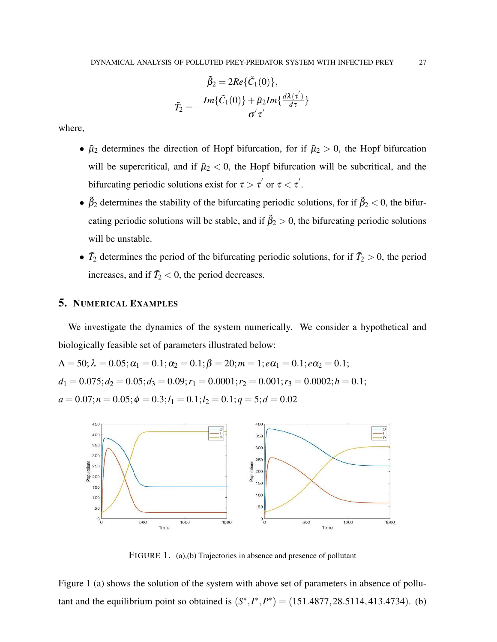$$
\tilde{\beta}_2 = 2Re\{\tilde{C}_1(0)\},
$$
\n
$$
\tilde{T}_2 = -\frac{Im\{\tilde{C}_1(0)\} + \tilde{\mu}_2 Im\{\frac{d\lambda(\tau')}{d\tau}\}}{\sigma'\tau'}
$$

where,

- $\tilde{\mu}_2$  determines the direction of Hopf bifurcation, for if  $\tilde{\mu}_2 > 0$ , the Hopf bifurcation will be supercritical, and if  $\tilde{\mu}_2 < 0$ , the Hopf bifurcation will be subcritical, and the bifurcating periodic solutions exist for  $\tau > \tau'$  or  $\tau < \tau'$ .
- $\tilde{\beta}_2$  determines the stability of the bifurcating periodic solutions, for if  $\tilde{\beta}_2 < 0$ , the bifurcating periodic solutions will be stable, and if  $\tilde{\beta}_2 > 0$ , the bifurcating periodic solutions will be unstable.
- $\tilde{T}_2$  determines the period of the bifurcating periodic solutions, for if  $\tilde{T}_2 > 0$ , the period increases, and if  $\tilde{T}_2 < 0$ , the period decreases.

## 5. NUMERICAL EXAMPLES

We investigate the dynamics of the system numerically. We consider a hypothetical and biologically feasible set of parameters illustrated below:

$$
\Lambda = 50; \lambda = 0.05; \alpha_1 = 0.1; \alpha_2 = 0.1; \beta = 20; m = 1; e\alpha_1 = 0.1; e\alpha_2 = 0.1; \nd_1 = 0.075; d_2 = 0.05; d_3 = 0.09; r_1 = 0.0001; r_2 = 0.001; r_3 = 0.0002; h = 0.1; \na = 0.07; n = 0.05; \phi = 0.3; l_1 = 0.1; l_2 = 0.1; q = 5; d = 0.02
$$



FIGURE 1. (a),(b) Trajectories in absence and presence of pollutant

Figure 1 (a) shows the solution of the system with above set of parameters in absence of pollutant and the equilibrium point so obtained is  $(S^*, I^*, P^*) = (151.4877, 28.5114, 413.4734)$ . (b)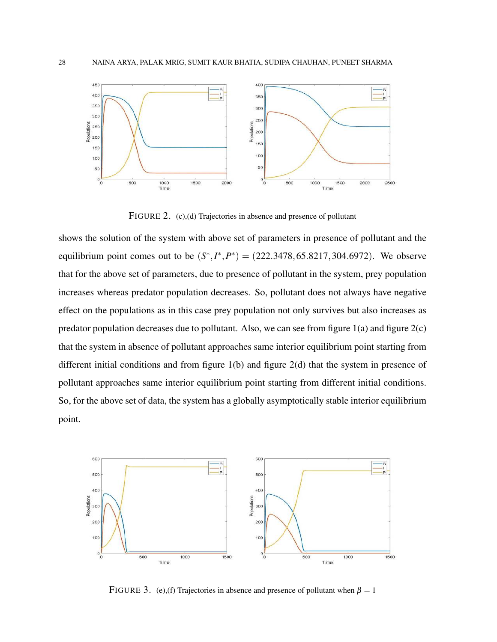

FIGURE 2. (c),(d) Trajectories in absence and presence of pollutant

shows the solution of the system with above set of parameters in presence of pollutant and the equilibrium point comes out to be  $(S^*, I^*, P^*) = (222.3478, 65.8217, 304.6972)$ . We observe that for the above set of parameters, due to presence of pollutant in the system, prey population increases whereas predator population decreases. So, pollutant does not always have negative effect on the populations as in this case prey population not only survives but also increases as predator population decreases due to pollutant. Also, we can see from figure  $1(a)$  and figure  $2(c)$ that the system in absence of pollutant approaches same interior equilibrium point starting from different initial conditions and from figure 1(b) and figure 2(d) that the system in presence of pollutant approaches same interior equilibrium point starting from different initial conditions. So, for the above set of data, the system has a globally asymptotically stable interior equilibrium point.



FIGURE 3. (e),(f) Trajectories in absence and presence of pollutant when  $\beta = 1$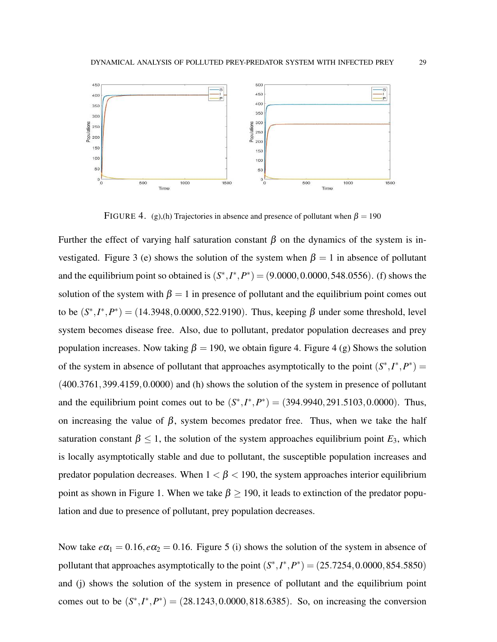

FIGURE 4. (g),(h) Trajectories in absence and presence of pollutant when  $\beta = 190$ 

Further the effect of varying half saturation constant  $\beta$  on the dynamics of the system is investigated. Figure 3 (e) shows the solution of the system when  $\beta = 1$  in absence of pollutant and the equilibrium point so obtained is  $(S^*, I^*, P^*) = (9.0000, 0.0000, 548.0556)$ . (f) shows the solution of the system with  $\beta = 1$  in presence of pollutant and the equilibrium point comes out to be  $(S^*, I^*, P^*) = (14.3948, 0.0000, 522.9190)$ . Thus, keeping  $\beta$  under some threshold, level system becomes disease free. Also, due to pollutant, predator population decreases and prey population increases. Now taking  $\beta = 190$ , we obtain figure 4. Figure 4 (g) Shows the solution of the system in absence of pollutant that approaches asymptotically to the point  $(S^*, I^*, P^*)$  = (400.3761,399.4159,0.0000) and (h) shows the solution of the system in presence of pollutant and the equilibrium point comes out to be  $(S^*, I^*, P^*) = (394.9940, 291.5103, 0.0000)$ . Thus, on increasing the value of  $\beta$ , system becomes predator free. Thus, when we take the half saturation constant  $\beta \leq 1$ , the solution of the system approaches equilibrium point  $E_3$ , which is locally asymptotically stable and due to pollutant, the susceptible population increases and predator population decreases. When  $1 < \beta < 190$ , the system approaches interior equilibrium point as shown in Figure 1. When we take  $\beta \ge 190$ , it leads to extinction of the predator population and due to presence of pollutant, prey population decreases.

Now take  $e\alpha_1 = 0.16$ ,  $e\alpha_2 = 0.16$ . Figure 5 (i) shows the solution of the system in absence of pollutant that approaches asymptotically to the point  $(S^*, I^*, P^*) = (25.7254, 0.0000, 854.5850)$ and (j) shows the solution of the system in presence of pollutant and the equilibrium point comes out to be  $(S^*, I^*, P^*) = (28.1243, 0.0000, 818.6385)$ . So, on increasing the conversion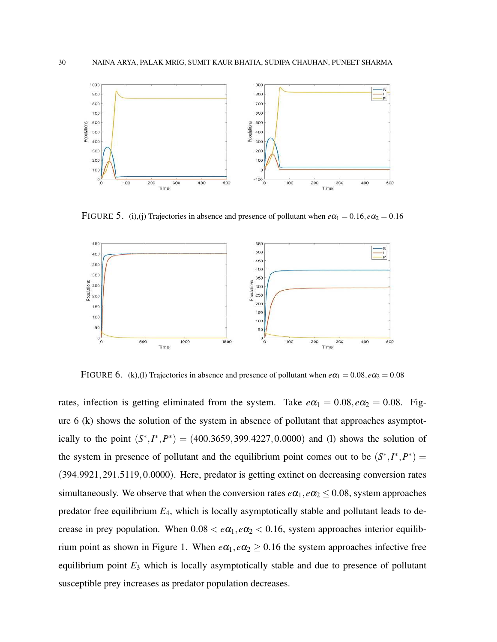

FIGURE 5. (i),(j) Trajectories in absence and presence of pollutant when  $e\alpha_1 = 0.16$ ,  $e\alpha_2 = 0.16$ 



FIGURE 6. (k),(l) Trajectories in absence and presence of pollutant when  $e\alpha_1 = 0.08$ ,  $e\alpha_2 = 0.08$ 

rates, infection is getting eliminated from the system. Take  $e\alpha_1 = 0.08, e\alpha_2 = 0.08$ . Figure 6 (k) shows the solution of the system in absence of pollutant that approaches asymptotically to the point  $(S^*, I^*, P^*) = (400.3659, 399.4227, 0.0000)$  and (1) shows the solution of the system in presence of pollutant and the equilibrium point comes out to be  $(S^*, I^*, P^*)$  = (394.9921,291.5119,0.0000). Here, predator is getting extinct on decreasing conversion rates simultaneously. We observe that when the conversion rates  $e\alpha_1, e\alpha_2 \leq 0.08$ , system approaches predator free equilibrium *E*4, which is locally asymptotically stable and pollutant leads to decrease in prey population. When  $0.08 < e\alpha_1, e\alpha_2 < 0.16$ , system approaches interior equilibrium point as shown in Figure 1. When  $e\alpha_1, e\alpha_2 \ge 0.16$  the system approaches infective free equilibrium point *E*<sup>3</sup> which is locally asymptotically stable and due to presence of pollutant susceptible prey increases as predator population decreases.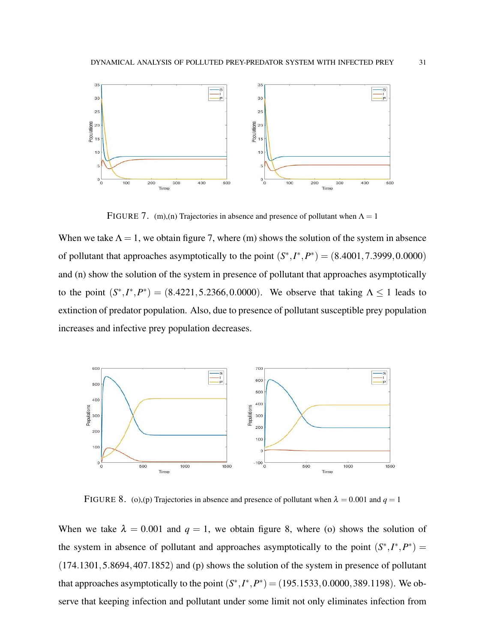

FIGURE 7. (m),(n) Trajectories in absence and presence of pollutant when  $\Lambda = 1$ 

When we take  $\Lambda = 1$ , we obtain figure 7, where (m) shows the solution of the system in absence of pollutant that approaches asymptotically to the point  $(S^*, I^*, P^*) = (8.4001, 7.3999, 0.0000)$ and (n) show the solution of the system in presence of pollutant that approaches asymptotically to the point  $(S^*, I^*, P^*) = (8.4221, 5.2366, 0.0000)$ . We observe that taking  $\Lambda \le 1$  leads to extinction of predator population. Also, due to presence of pollutant susceptible prey population increases and infective prey population decreases.



FIGURE 8. (o),(p) Trajectories in absence and presence of pollutant when  $\lambda = 0.001$  and  $q = 1$ 

When we take  $\lambda = 0.001$  and  $q = 1$ , we obtain figure 8, where (o) shows the solution of the system in absence of pollutant and approaches asymptotically to the point  $(S^*, I^*, P^*)$  = (174.1301,5.8694,407.1852) and (p) shows the solution of the system in presence of pollutant that approaches asymptotically to the point  $(S^*, I^*, P^*) = (195.1533, 0.0000, 389.1198)$ . We observe that keeping infection and pollutant under some limit not only eliminates infection from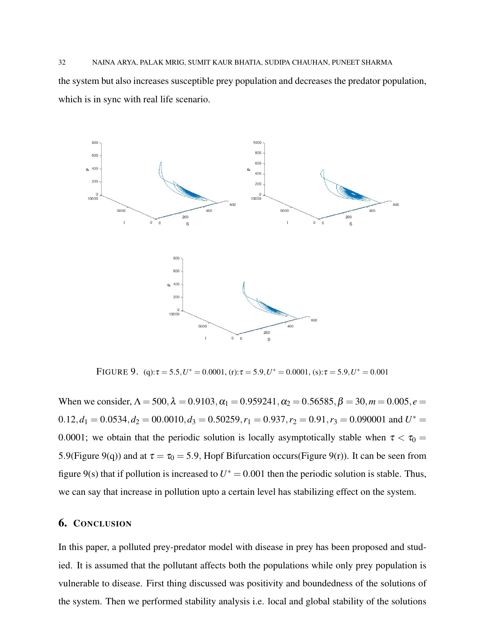the system but also increases susceptible prey population and decreases the predator population, which is in sync with real life scenario.



FIGURE 9. (q): $\tau = 5.5, U^* = 0.0001, (r): \tau = 5.9, U^* = 0.0001, (s): \tau = 5.9, U^* = 0.001$ 

When we consider,  $\Lambda = 500$ ,  $\lambda = 0.9103$ ,  $\alpha_1 = 0.959241$ ,  $\alpha_2 = 0.56585$ ,  $\beta = 30$ ,  $m = 0.005$ ,  $e =$  $0.12, d_1 = 0.0534, d_2 = 00.0010, d_3 = 0.50259, r_1 = 0.937, r_2 = 0.91, r_3 = 0.090001$  and  $U^* =$ 0.0001; we obtain that the periodic solution is locally asymptotically stable when  $\tau < \tau_0 =$ 5.9(Figure 9(q)) and at  $\tau = \tau_0 = 5.9$ , Hopf Bifurcation occurs(Figure 9(r)). It can be seen from figure 9(s) that if pollution is increased to  $U^* = 0.001$  then the periodic solution is stable. Thus, we can say that increase in pollution upto a certain level has stabilizing effect on the system.

## 6. CONCLUSION

In this paper, a polluted prey-predator model with disease in prey has been proposed and studied. It is assumed that the pollutant affects both the populations while only prey population is vulnerable to disease. First thing discussed was positivity and boundedness of the solutions of the system. Then we performed stability analysis i.e. local and global stability of the solutions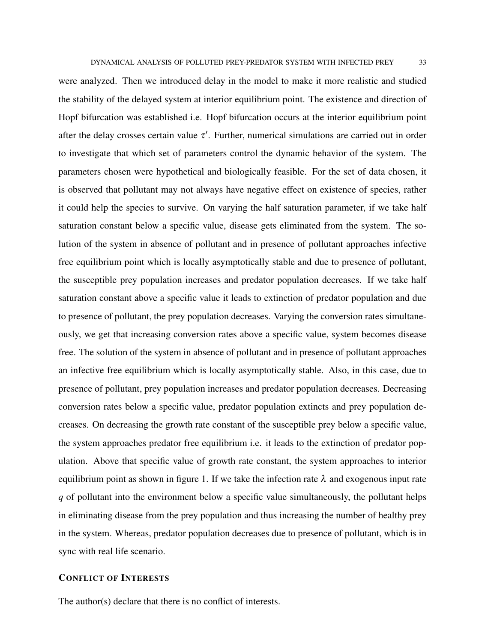were analyzed. Then we introduced delay in the model to make it more realistic and studied the stability of the delayed system at interior equilibrium point. The existence and direction of Hopf bifurcation was established i.e. Hopf bifurcation occurs at the interior equilibrium point after the delay crosses certain value  $\tau'$ . Further, numerical simulations are carried out in order to investigate that which set of parameters control the dynamic behavior of the system. The parameters chosen were hypothetical and biologically feasible. For the set of data chosen, it is observed that pollutant may not always have negative effect on existence of species, rather it could help the species to survive. On varying the half saturation parameter, if we take half saturation constant below a specific value, disease gets eliminated from the system. The solution of the system in absence of pollutant and in presence of pollutant approaches infective free equilibrium point which is locally asymptotically stable and due to presence of pollutant, the susceptible prey population increases and predator population decreases. If we take half saturation constant above a specific value it leads to extinction of predator population and due to presence of pollutant, the prey population decreases. Varying the conversion rates simultaneously, we get that increasing conversion rates above a specific value, system becomes disease free. The solution of the system in absence of pollutant and in presence of pollutant approaches an infective free equilibrium which is locally asymptotically stable. Also, in this case, due to presence of pollutant, prey population increases and predator population decreases. Decreasing conversion rates below a specific value, predator population extincts and prey population decreases. On decreasing the growth rate constant of the susceptible prey below a specific value, the system approaches predator free equilibrium i.e. it leads to the extinction of predator population. Above that specific value of growth rate constant, the system approaches to interior equilibrium point as shown in figure 1. If we take the infection rate  $\lambda$  and exogenous input rate *q* of pollutant into the environment below a specific value simultaneously, the pollutant helps in eliminating disease from the prey population and thus increasing the number of healthy prey in the system. Whereas, predator population decreases due to presence of pollutant, which is in sync with real life scenario.

#### CONFLICT OF INTERESTS

The author(s) declare that there is no conflict of interests.